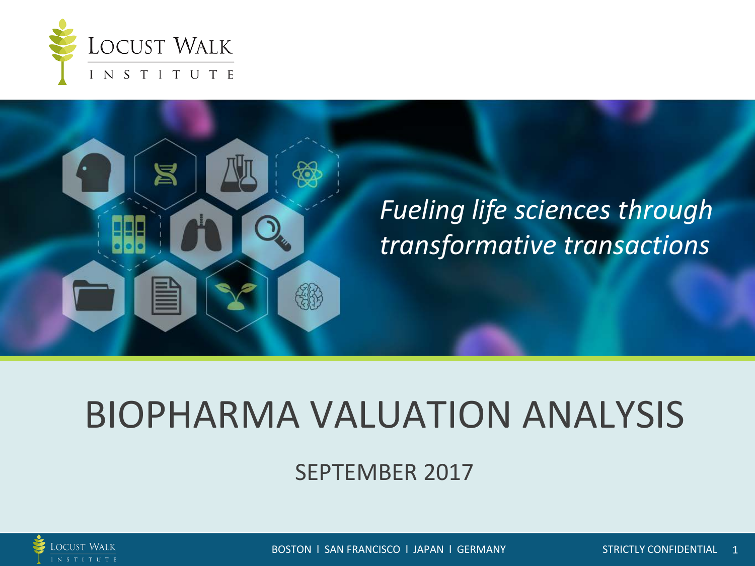



## *Fueling life sciences through transformative transactions*

## BIOPHARMA VALUATION ANALYSIS

SEPTEMBER 2017



BOSTON l SAN FRANCISCO l JAPAN l GERMANY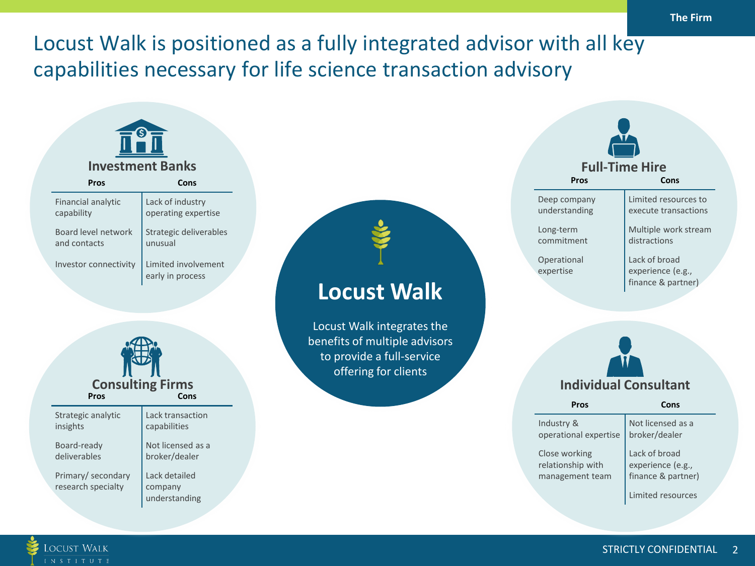## Locust Walk is positioned as a fully integrated advisor with all key capabilities necessary for life science transaction advisory



**LOCUST WALK**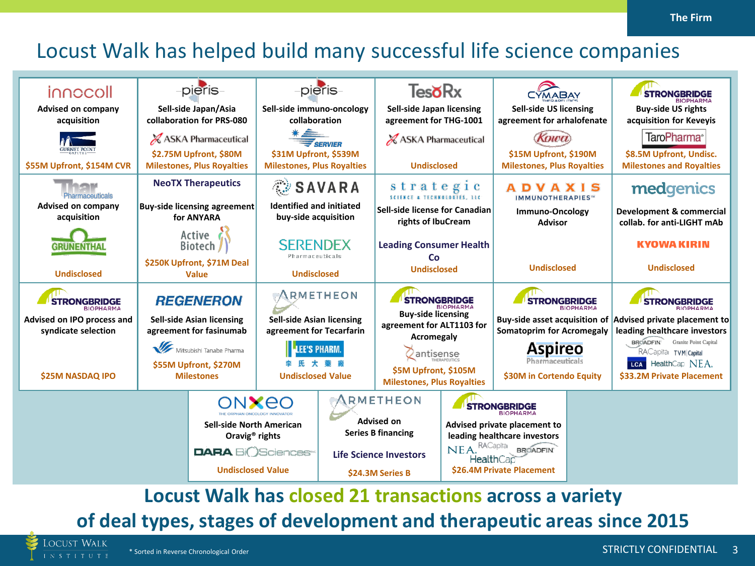## Locust Walk has helped build many successful life science companies

| innocoll                                                              |                  | -pieris-                                                      |                                                                                                        | -pieris-                                                                         | <b>TesoRx</b>                                                                                                                                  |                                                                                  | <b>CYMABAY</b>                                                                                                              |                                                            | <b>STRONGBRIDGE</b><br><b>RIOPHARMA</b>                                      |  |
|-----------------------------------------------------------------------|------------------|---------------------------------------------------------------|--------------------------------------------------------------------------------------------------------|----------------------------------------------------------------------------------|------------------------------------------------------------------------------------------------------------------------------------------------|----------------------------------------------------------------------------------|-----------------------------------------------------------------------------------------------------------------------------|------------------------------------------------------------|------------------------------------------------------------------------------|--|
| Advised on company<br>acquisition                                     |                  | Sell-side Japan/Asia<br>collaboration for PRS-080             | Sell-side immuno-oncology<br>collaboration                                                             |                                                                                  | <b>Sell-side Japan licensing</b><br>agreement for THG-1001                                                                                     |                                                                                  | <b>Sell-side US licensing</b><br>agreement for arhalofenate                                                                 |                                                            | <b>Buy-side US rights</b><br>acquisition for Keveyis                         |  |
|                                                                       |                  | X ASKA Pharmaceutical                                         |                                                                                                        |                                                                                  |                                                                                                                                                | X ASKA Pharmaceutical                                                            | Koikhol                                                                                                                     |                                                            | TaroPharma <sup>®</sup>                                                      |  |
| <b>GURNET POINT</b><br>\$55M Upfront, \$154M CVR                      |                  | \$2.75M Upfront, \$80M<br><b>Milestones, Plus Royalties</b>   |                                                                                                        | \$31M Upfront, \$539M<br><b>Milestones, Plus Royalties</b><br><b>Undisclosed</b> |                                                                                                                                                | \$15M Upfront, \$190M<br><b>Milestones, Plus Royalties</b>                       |                                                                                                                             | \$8.5M Upfront, Undisc.<br><b>Milestones and Royalties</b> |                                                                              |  |
| Pharmaceuticals                                                       |                  | <b>NeoTX Therapeutics</b>                                     | <b>SAVARA</b>                                                                                          |                                                                                  | strategic                                                                                                                                      |                                                                                  | VAXIS                                                                                                                       |                                                            | medgenics                                                                    |  |
| Advised on company<br>acquisition                                     |                  | <b>Buy-side licensing agreement</b><br>for ANYARA             | <b>Identified and initiated</b><br>buy-side acquisition                                                |                                                                                  | Sell-side license for Canadian<br>rights of IbuCream                                                                                           |                                                                                  | <b>IMMUNOTHERAPIES</b><br>Immuno-Oncology<br><b>Advisor</b>                                                                 |                                                            | Development & commercial<br>collab. for anti-LIGHT mAb                       |  |
| GRUNENTHAL                                                            |                  | Active<br><b>Biotech</b>                                      | <b>SERENDEX</b><br>Pharmaceuticals<br><b>Undisclosed</b>                                               |                                                                                  | <b>Leading Consumer Health</b><br><b>Co</b><br><b>Undisclosed</b>                                                                              |                                                                                  | <b>Undisclosed</b>                                                                                                          |                                                            | <b>KYOWA KIRIN</b>                                                           |  |
| <b>Undisclosed</b>                                                    |                  | \$250K Upfront, \$71M Deal<br><b>Value</b>                    |                                                                                                        |                                                                                  |                                                                                                                                                |                                                                                  |                                                                                                                             |                                                            | <b>Undisclosed</b>                                                           |  |
| <b>STRONGBRIDGE</b>                                                   | <b>REGENERON</b> |                                                               | ARMETHEON                                                                                              |                                                                                  | <b>STRONGBRIDGE</b><br><b>BIOPHARMA</b>                                                                                                        |                                                                                  | <b>STRONGBRIDGE</b>                                                                                                         |                                                            | <b>STRONGBRIDGE</b><br><b>BIOPHARMA</b>                                      |  |
| <b>BIOPHARMA</b><br>Advised on IPO process and<br>syndicate selection |                  | Sell-side Asian licensing<br>agreement for fasinumab          | Sell-side Asian licensing<br>agreement for Tecarfarin<br><b>EE'S PHARM</b><br><b>Undisclosed Value</b> |                                                                                  | <b>Buy-side licensing</b><br>agreement for ALT1103 for<br>Acromegaly<br>antisense<br>\$5M Upfront, \$105M<br><b>Milestones, Plus Royalties</b> |                                                                                  | Buy-side asset acquisition of<br><b>Somatoprim for Acromegaly</b><br>Aspireo<br>Pharmaceuticals<br>\$30M in Cortendo Equity |                                                            | Advised private placement to<br>leading healthcare investors                 |  |
|                                                                       |                  | Mitsubishi Tanabe Pharma                                      |                                                                                                        |                                                                                  |                                                                                                                                                |                                                                                  |                                                                                                                             |                                                            | <b>BROADFIN</b><br>Granite Point Capital<br>RACapita <sub> TVM</sub> Capital |  |
| <b>\$25M NASDAQ IPO</b>                                               |                  | \$55M Upfront, \$270M<br><b>Milestones</b>                    |                                                                                                        |                                                                                  |                                                                                                                                                |                                                                                  |                                                                                                                             |                                                            | LCA HealthCap NEA.<br>\$33.2M Private Placement                              |  |
|                                                                       |                  | ONXEO                                                         |                                                                                                        |                                                                                  | <b>IRMETHEON</b>                                                                                                                               | <b>STRONGBRIDGE</b>                                                              |                                                                                                                             |                                                            |                                                                              |  |
|                                                                       |                  | <b>Sell-side North American</b><br>Oravig <sup>®</sup> rights |                                                                                                        |                                                                                  | <b>Advised on</b><br><b>Series B financing</b>                                                                                                 | <b>RIOPHARMA</b><br>Advised private placement to<br>leading healthcare investors |                                                                                                                             |                                                            |                                                                              |  |
|                                                                       |                  | <b>DARA BiOSciences</b>                                       |                                                                                                        | <b>Life Science Investors</b>                                                    |                                                                                                                                                | $NEAs$ RACapita<br><b>BROADFIN</b><br><b>Health</b> Can                          |                                                                                                                             |                                                            |                                                                              |  |
|                                                                       |                  | <b>Undisclosed Value</b>                                      |                                                                                                        | \$24.3M Series B                                                                 |                                                                                                                                                | \$26.4M Private Placement                                                        |                                                                                                                             |                                                            |                                                                              |  |

**Locust Walk has closed 21 transactions across a variety** 

**of deal types, stages of development and therapeutic areas since 2015**

**LOCUST WALK** \* Sorted in Reverse Chronological Order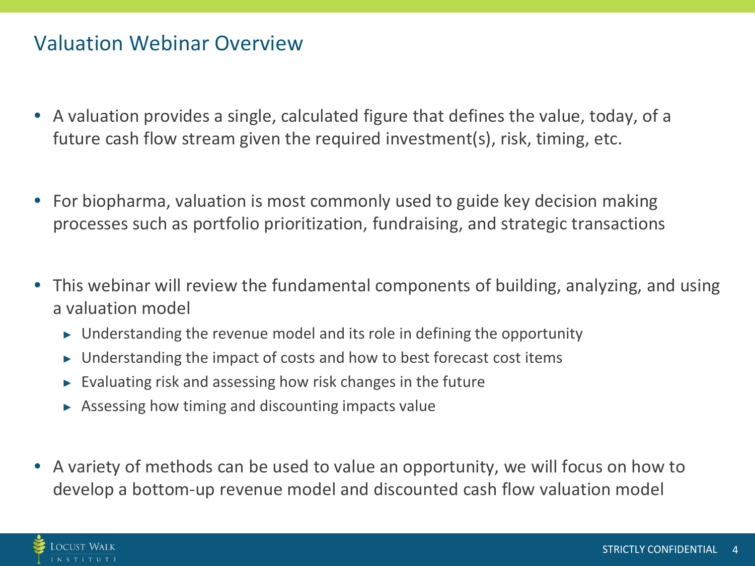## Valuation Webinar Overview

- A valuation provides a single, calculated figure that defines the value, today, of a future cash flow stream given the required investment(s), risk, timing, etc.
- For biopharma, valuation is most commonly used to guide key decision making processes such as portfolio prioritization, fundraising, and strategic transactions
- This webinar will review the fundamental components of building, analyzing, and using a valuation model
	- $\triangleright$  Understanding the revenue model and its role in defining the opportunity
	- $\triangleright$  Understanding the impact of costs and how to best forecast cost items
	- $\triangleright$  Evaluating risk and assessing how risk changes in the future
	- $\triangleright$  Assessing how timing and discounting impacts value
- A variety of methods can be used to value an opportunity, we will focus on how to develop a bottom-up revenue model and discounted cash flow valuation model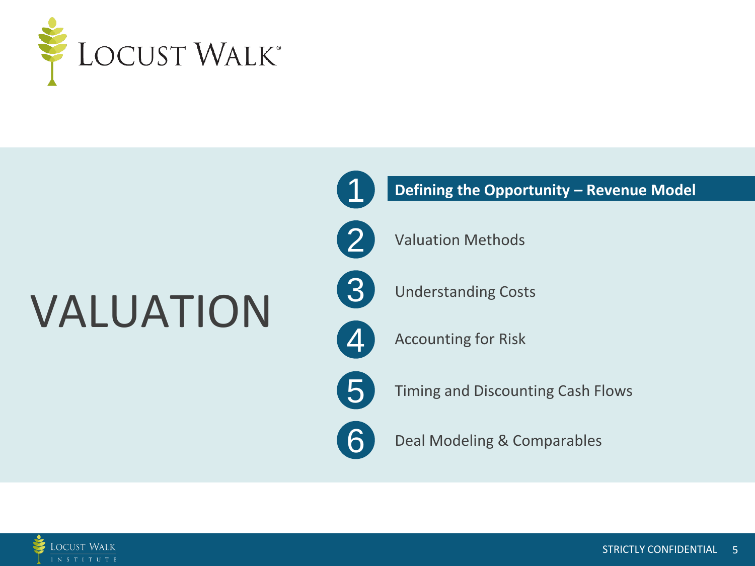

## VALUATION



#### **Defining the Opportunity – Revenue Model**



Valuation Methods



 $\Delta$ 

Understanding Costs

Accounting for Risk



6

Timing and Discounting Cash Flows

Deal Modeling & Comparables

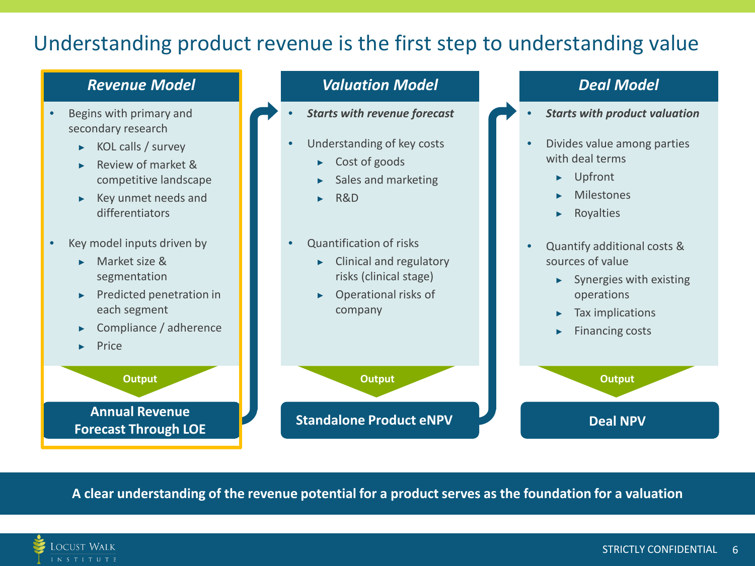## Understanding product revenue is the first step to understanding value

#### *Revenue Model*

- Begins with primary and secondary research
	- $\triangleright$  KOL calls / survey
	- ▶ Review of market & competitive landscape
	- ▶ Key unmet needs and differentiators
- Key model inputs driven by
	- ▶ Market size & segmentation
	- ▶ Predicted penetration in each segment
	- Compliance / adherence
	- **Price**

**Output Annual Revenue Forecast Through LOE**

#### *Valuation Model*

- *Starts with revenue forecast*
- Understanding of key costs
	- ▶ Cost of goods
	- Sales and marketing
	- ▶ R&D
- Quantification of risks
	- ▶ Clinical and regulatory risks (clinical stage)
	- **Operational risks of** company

**Standalone Product eNPV Deal NPV** 

#### *Deal Model*

- *Starts with product valuation*
- Divides value among parties with deal terms
	- ▶ Upfront
	- **Milestones**
	- ▶ Royalties
- Quantify additional costs & sources of value
	- $\blacktriangleright$  Synergies with existing operations
	- ▶ Tax implications
	- ▶ Financing costs

**Output Output Output** 

**A clear understanding of the revenue potential for a product serves as the foundation for a valuation**

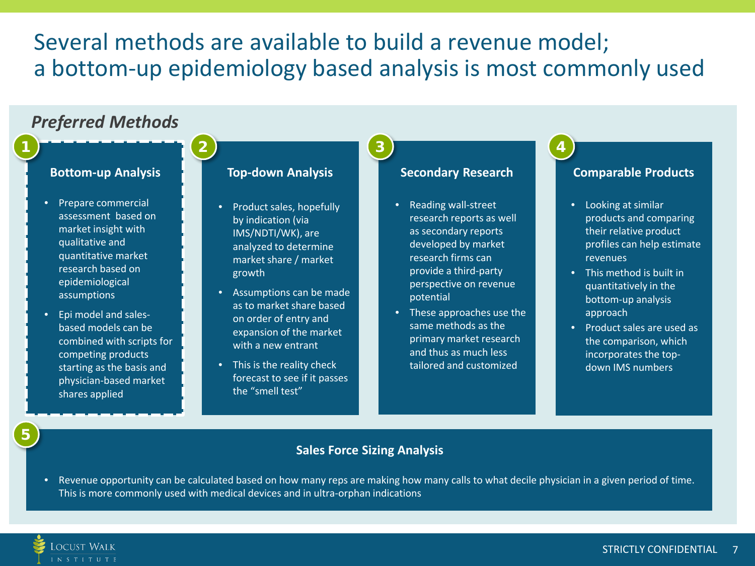## Several methods are available to build a revenue model; a bottom-up epidemiology based analysis is most commonly used



• Revenue opportunity can be calculated based on how many reps are making how many calls to what decile physician in a given period of time. This is more commonly used with medical devices and in ultra-orphan indications

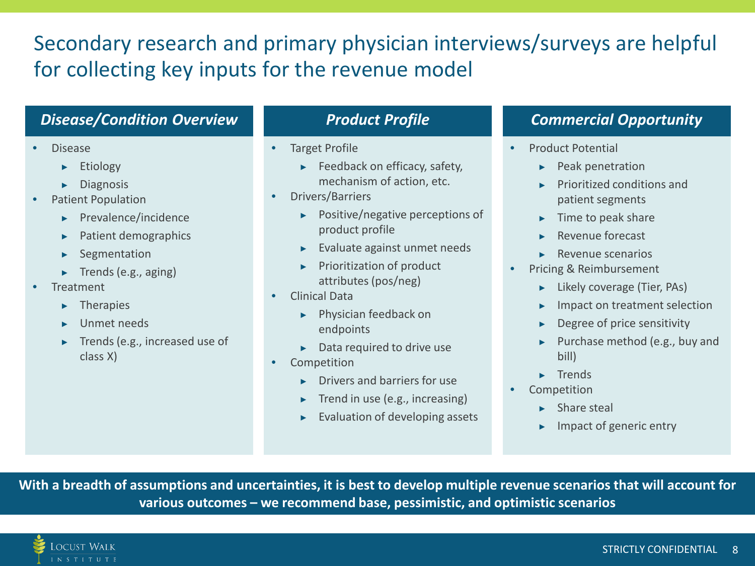## Secondary research and primary physician interviews/surveys are helpful for collecting key inputs for the revenue model

#### *Disease/Condition Overview*

- Disease
	- ▶ Etiology
	- ▶ Diagnosis
- Patient Population
	- ▶ Prevalence/incidence
	- **Patient demographics**
	- Segmentation
	- $\blacktriangleright$  Trends (e.g., aging)
- **Treatment** 
	- **Therapies**
	- Unmet needs
	- Trends (e.g., increased use of class X)

#### *Product Profile*

- Target Profile
	- ▶ Feedback on efficacy, safety, mechanism of action, etc.
- Drivers/Barriers
	- Positive/negative perceptions of product profile
	- Evaluate against unmet needs
	- ▶ Prioritization of product attributes (pos/neg)
- Clinical Data
	- ▶ Physician feedback on endpoints
	- $\blacktriangleright$  Data required to drive use
- Competition
	- ▶ Drivers and barriers for use
	- ▶ Trend in use (e.g., increasing)
	- **Evaluation of developing assets**

#### *Commercial Opportunity*

- Product Potential
	- ▶ Peak penetration
	- ▶ Prioritized conditions and patient segments
	- $\blacktriangleright$  Time to peak share
	- Revenue forecast
	- ▶ Revenue scenarios
- Pricing & Reimbursement
	- ▶ Likely coverage (Tier, PAs)
	- ▶ Impact on treatment selection
	- $\blacktriangleright$  Degree of price sensitivity
	- Purchase method (e.g., buy and bill)
	- ▶ Trends
- Competition
	- Share steal
	- ▶ Impact of generic entry

**With a breadth of assumptions and uncertainties, it is best to develop multiple revenue scenarios that will account for various outcomes – we recommend base, pessimistic, and optimistic scenarios**

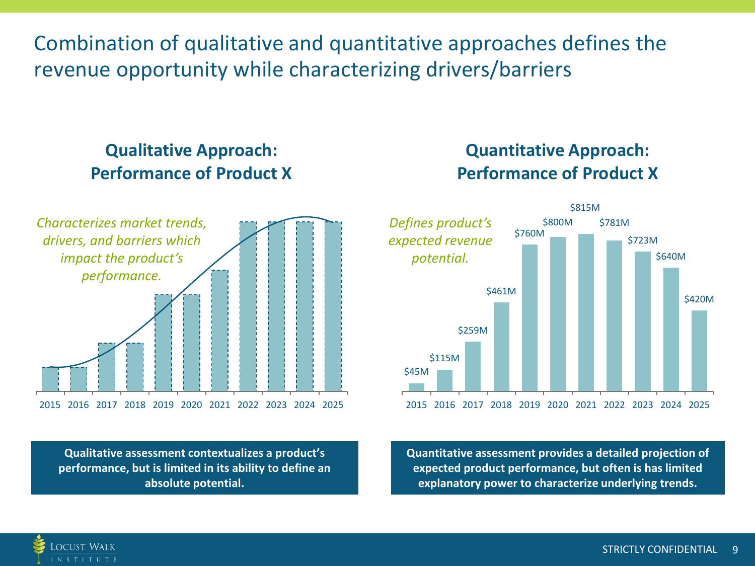Combination of qualitative and quantitative approaches defines the revenue opportunity while characterizing drivers/barriers

### **Qualitative Approach: Performance of Product X**



**Qualitative assessment contextualizes a product's performance, but is limited in its ability to define an absolute potential.**

Locust Walk N S T I T U T E

#### **Quantitative Approach: Performance of Product X**



**Quantitative assessment provides a detailed projection of expected product performance, but often is has limited explanatory power to characterize underlying trends.**

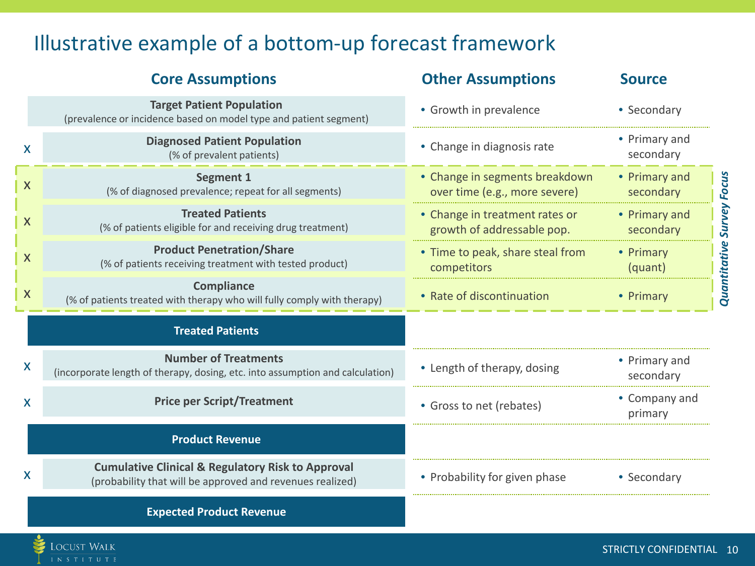## Illustrative example of a bottom-up forecast framework

LOCUST WALK

|                           | <b>Core Assumptions</b>                                                                                                   | <b>Other Assumptions</b>                                        | <b>Source</b>              |
|---------------------------|---------------------------------------------------------------------------------------------------------------------------|-----------------------------------------------------------------|----------------------------|
|                           | <b>Target Patient Population</b><br>(prevalence or incidence based on model type and patient segment)                     | • Growth in prevalence                                          | • Secondary                |
| X                         | <b>Diagnosed Patient Population</b><br>(% of prevalent patients)                                                          | • Change in diagnosis rate                                      | • Primary and<br>secondary |
| X                         | <b>Segment 1</b><br>(% of diagnosed prevalence; repeat for all segments)                                                  | • Change in segments breakdown<br>over time (e.g., more severe) | • Primary and<br>secondary |
| X                         | <b>Treated Patients</b><br>(% of patients eligible for and receiving drug treatment)                                      | • Change in treatment rates or<br>growth of addressable pop.    | • Primary and<br>secondary |
| $\boldsymbol{X}$          | <b>Product Penetration/Share</b><br>(% of patients receiving treatment with tested product)                               | • Time to peak, share steal from<br>competitors                 | • Primary<br>(quant)       |
| $\boldsymbol{\mathsf{X}}$ | <b>Compliance</b><br>(% of patients treated with therapy who will fully comply with therapy)                              | • Rate of discontinuation                                       | • Primary                  |
|                           | <b>Treated Patients</b>                                                                                                   |                                                                 |                            |
| X                         | <b>Number of Treatments</b><br>(incorporate length of therapy, dosing, etc. into assumption and calculation)              | • Length of therapy, dosing                                     | • Primary and<br>secondary |
| X                         | <b>Price per Script/Treatment</b>                                                                                         | • Gross to net (rebates)                                        | • Company and<br>primary   |
|                           | <b>Product Revenue</b>                                                                                                    |                                                                 |                            |
| X                         | <b>Cumulative Clinical &amp; Regulatory Risk to Approval</b><br>(probability that will be approved and revenues realized) | • Probability for given phase                                   | • Secondary                |
|                           | <b>Expected Product Revenue</b>                                                                                           |                                                                 |                            |

STRICTLY CONFIDENTIAL 10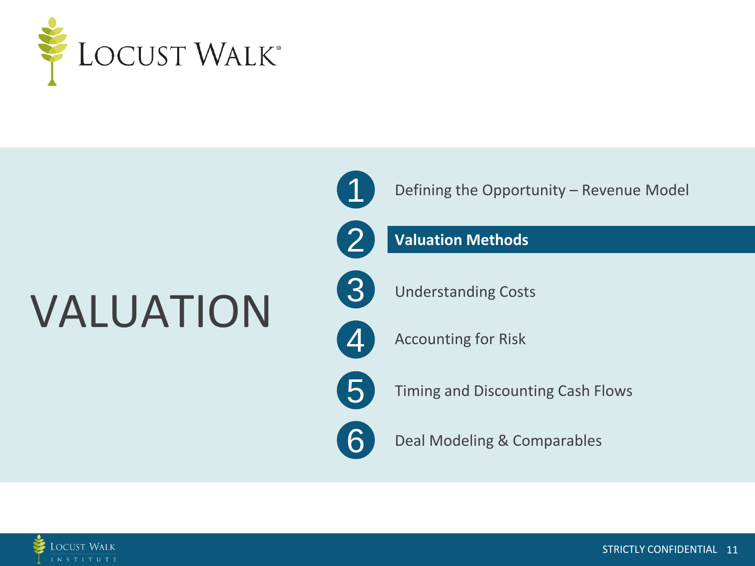

# VALUATION



Defining the Opportunity – Revenue Model

#### **Valuation Methods**



2

Understanding Costs

4 Accounting for Risk

5

6

Timing and Discounting Cash Flows

Deal Modeling & Comparables

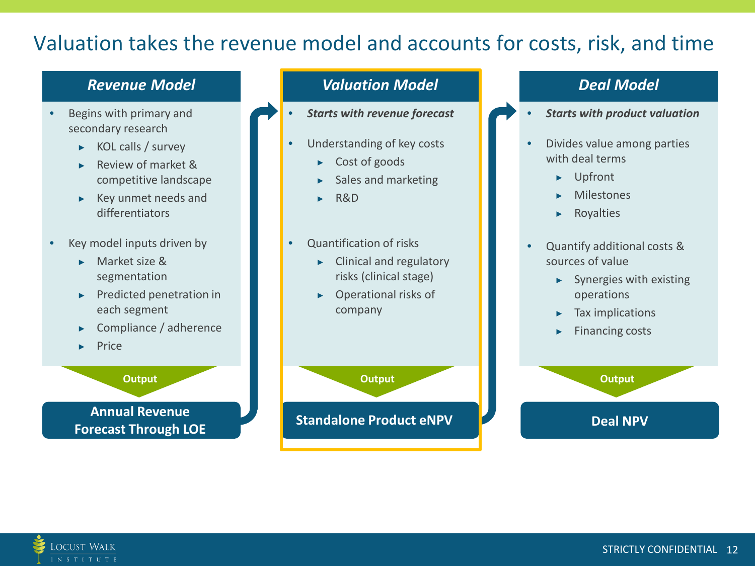## Valuation takes the revenue model and accounts for costs, risk, and time

#### *Revenue Model*

- Begins with primary and secondary research
	- $\triangleright$  KOL calls / survey
	- ▶ Review of market & competitive landscape
	- ▶ Key unmet needs and differentiators
- Key model inputs driven by
	- ▶ Market size & segmentation
	- ▶ Predicted penetration in each segment
	- ▶ Compliance / adherence
	- ▶ Price

#### **Output**

**Annual Revenue Forecast Through LOE**

#### *Valuation Model*

- *Starts with revenue forecast*
- Understanding of key costs
	- ▶ Cost of goods
	- Sales and marketing
	- ▶ R&D
- Quantification of risks
	- ▶ Clinical and regulatory risks (clinical stage)
	- Operational risks of company

**Standalone Product eNPV Deal NPV** 

#### *Deal Model*

- *Starts with product valuation*
- Divides value among parties with deal terms
	- ▶ Upfront
	- ▶ Milestones
	- ▶ Royalties
- Quantify additional costs & sources of value
	- $\blacktriangleright$  Synergies with existing operations
	- ▶ Tax implications
	- ▶ Financing costs



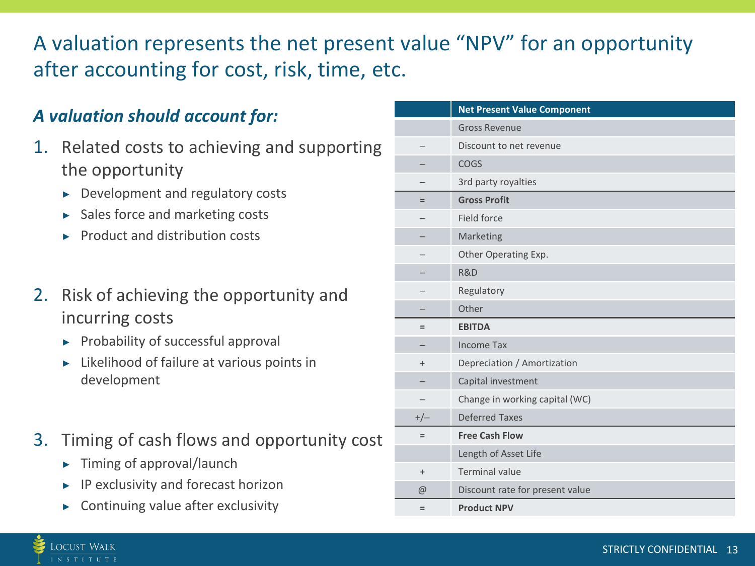## A valuation represents the net present value "NPV" for an opportunity after accounting for cost, risk, time, etc.

### *A valuation should account for:*

- 1. Related costs to achieving and supporting the opportunity
	- $\triangleright$  Development and regulatory costs
	- ▶ Sales force and marketing costs
	- **Product and distribution costs**
- 2. Risk of achieving the opportunity and incurring costs
	- $\blacktriangleright$  Probability of successful approval
	- Likelihood of failure at various points in development
- 3. Timing of cash flows and opportunity cost
	- ▶ Timing of approval/launch

.ocust Walk N S T I T U T E

- $\blacktriangleright$  IP exclusivity and forecast horizon
- **Continuing value after exclusivity**

|           | <b>Net Present Value Component</b> |
|-----------|------------------------------------|
|           | <b>Gross Revenue</b>               |
|           | Discount to net revenue            |
|           | <b>COGS</b>                        |
|           | 3rd party royalties                |
| $=$       | <b>Gross Profit</b>                |
|           | Field force                        |
|           | Marketing                          |
|           | Other Operating Exp.               |
|           | R&D                                |
|           | Regulatory                         |
|           | Other                              |
| $=$       | <b>EBITDA</b>                      |
|           | <b>Income Tax</b>                  |
| $^{+}$    | Depreciation / Amortization        |
|           | Capital investment                 |
|           | Change in working capital (WC)     |
| $+/-$     | <b>Deferred Taxes</b>              |
| $=$       | <b>Free Cash Flow</b>              |
|           | Length of Asset Life               |
| $\ddot{}$ | <b>Terminal value</b>              |
| $\omega$  | Discount rate for present value    |
| $=$       | <b>Product NPV</b>                 |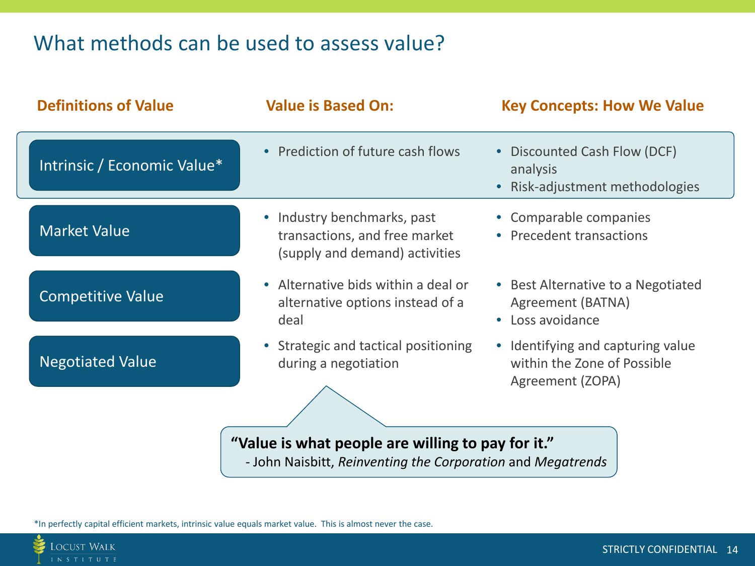## What methods can be used to assess value?

| <b>Definitions of Value</b>                                                                                      | <b>Value is Based On:</b>                                                                      | <b>Key Concepts: How We Value</b>                                                    |  |  |  |  |
|------------------------------------------------------------------------------------------------------------------|------------------------------------------------------------------------------------------------|--------------------------------------------------------------------------------------|--|--|--|--|
| Intrinsic / Economic Value*                                                                                      | • Prediction of future cash flows                                                              | • Discounted Cash Flow (DCF)<br>analysis<br>Risk-adjustment methodologies            |  |  |  |  |
| <b>Market Value</b>                                                                                              | • Industry benchmarks, past<br>transactions, and free market<br>(supply and demand) activities | • Comparable companies<br>• Precedent transactions                                   |  |  |  |  |
| <b>Competitive Value</b>                                                                                         | Alternative bids within a deal or<br>$\bullet$<br>alternative options instead of a<br>deal     | • Best Alternative to a Negotiated<br>Agreement (BATNA)<br>• Loss avoidance          |  |  |  |  |
| <b>Negotiated Value</b>                                                                                          | • Strategic and tactical positioning<br>during a negotiation                                   | • Identifying and capturing value<br>within the Zone of Possible<br>Agreement (ZOPA) |  |  |  |  |
| "Value is what people are willing to pay for it."<br>- John Naisbitt, Reinventing the Corporation and Megatrends |                                                                                                |                                                                                      |  |  |  |  |

\*In perfectly capital efficient markets, intrinsic value equals market value. This is almost never the case.

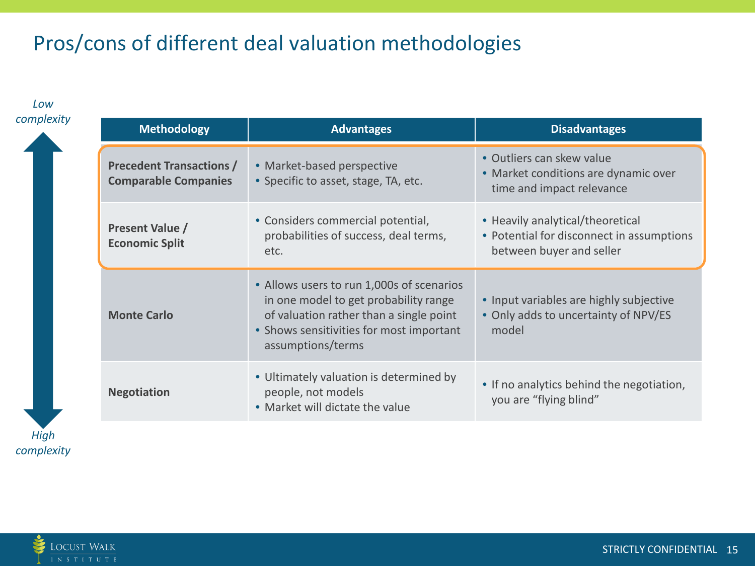## Pros/cons of different deal valuation methodologies

*High Low*  **Advantages Methodology Advantages Advantages Disadvantages Precedent Transactions / Comparable Companies** • Market-based perspective • Specific to asset, stage, TA, etc. • Outliers can skew value • Market conditions are dynamic over time and impact relevance **Present Value / Economic Split** • Considers commercial potential, probabilities of success, deal terms, etc. • Heavily analytical/theoretical • Potential for disconnect in assumptions between buyer and seller **Monte Carlo** • Allows users to run 1,000s of scenarios in one model to get probability range of valuation rather than a single point • Shows sensitivities for most important assumptions/terms • Input variables are highly subjective • Only adds to uncertainty of NPV/ES model **Negotiation** • Ultimately valuation is determined by people, not models • Market will dictate the value • If no analytics behind the negotiation, you are "flying blind"

**LOCUST WALK** 

*complexity*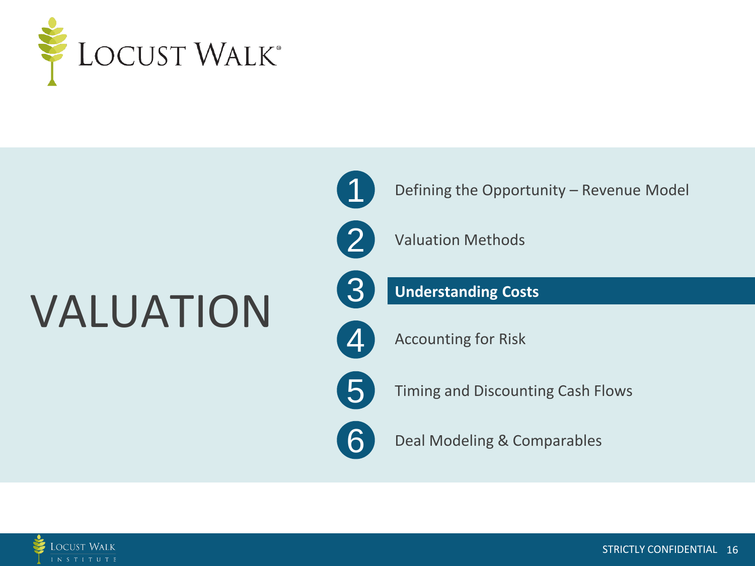

## VALUATION



Defining the Opportunity – Revenue Model



Valuation Methods



 $\boldsymbol{\varDelta}$ 

**Understanding Costs**

Accounting for Risk



6

Timing and Discounting Cash Flows

Deal Modeling & Comparables

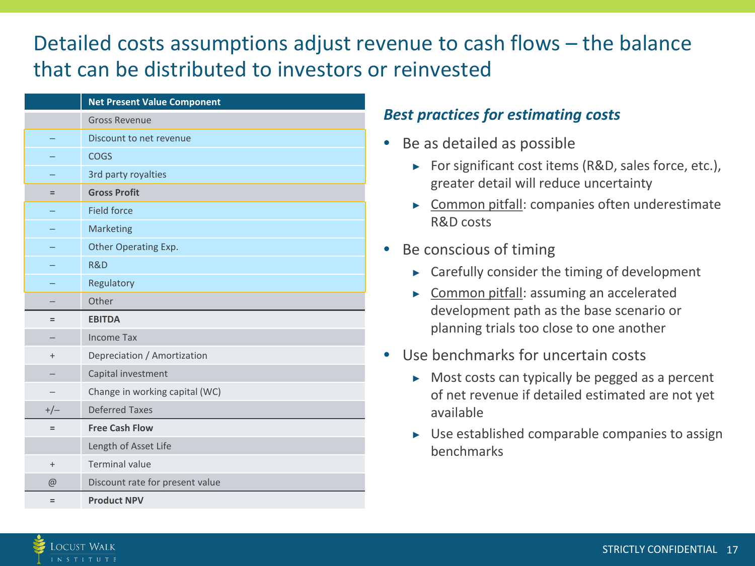## Detailed costs assumptions adjust revenue to cash flows – the balance that can be distributed to investors or reinvested

|          | <b>Net Present Value Component</b> |
|----------|------------------------------------|
|          | <b>Gross Revenue</b>               |
|          | Discount to net revenue            |
|          | <b>COGS</b>                        |
|          | 3rd party royalties                |
| $=$      | <b>Gross Profit</b>                |
|          | <b>Field force</b>                 |
|          | Marketing                          |
|          | Other Operating Exp.               |
|          | R&D                                |
|          | Regulatory                         |
|          | Other                              |
| $=$      | <b>EBITDA</b>                      |
|          | <b>Income Tax</b>                  |
| $^{+}$   | Depreciation / Amortization        |
|          | Capital investment                 |
|          | Change in working capital (WC)     |
| $+/-$    | <b>Deferred Taxes</b>              |
| $=$      | <b>Free Cash Flow</b>              |
|          | Length of Asset Life               |
| $+$      | <b>Terminal value</b>              |
| $\omega$ | Discount rate for present value    |
| $=$      | <b>Product NPV</b>                 |

#### *Best practices for estimating costs*

- Be as detailed as possible
	- ▶ For significant cost items (R&D, sales force, etc.), greater detail will reduce uncertainty
	- ▶ Common pitfall: companies often underestimate R&D costs
- Be conscious of timing
	- $\triangleright$  Carefully consider the timing of development
	- ▶ Common pitfall: assuming an accelerated development path as the base scenario or planning trials too close to one another
- Use benchmarks for uncertain costs
	- $\triangleright$  Most costs can typically be pegged as a percent of net revenue if detailed estimated are not yet available
	- $\triangleright$  Use established comparable companies to assign benchmarks

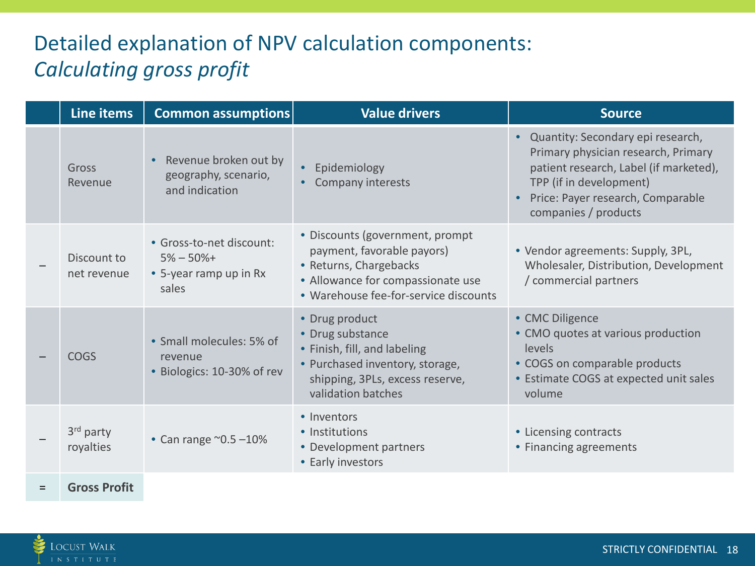## Detailed explanation of NPV calculation components: *Calculating gross profit*

| Line items                 | <b>Common assumptions</b>                                                   | Value drivers                                                                                                                                                         | <b>Source</b>                                                                                                                                                                                              |
|----------------------------|-----------------------------------------------------------------------------|-----------------------------------------------------------------------------------------------------------------------------------------------------------------------|------------------------------------------------------------------------------------------------------------------------------------------------------------------------------------------------------------|
| Gross<br>Revenue           | Revenue broken out by<br>geography, scenario,<br>and indication             | Epidemiology<br>Company interests                                                                                                                                     | Quantity: Secondary epi research,<br>Primary physician research, Primary<br>patient research, Label (if marketed),<br>TPP (if in development)<br>Price: Payer research, Comparable<br>companies / products |
| Discount to<br>net revenue | · Gross-to-net discount:<br>$5% - 50% +$<br>• 5-year ramp up in Rx<br>sales | • Discounts (government, prompt<br>payment, favorable payors)<br>• Returns, Chargebacks<br>• Allowance for compassionate use<br>• Warehouse fee-for-service discounts | • Vendor agreements: Supply, 3PL,<br>Wholesaler, Distribution, Development<br>/ commercial partners                                                                                                        |
| <b>COGS</b>                | • Small molecules: 5% of<br>revenue<br>• Biologics: 10-30% of rev           | • Drug product<br>• Drug substance<br>• Finish, fill, and labeling<br>• Purchased inventory, storage,<br>shipping, 3PLs, excess reserve,<br>validation batches        | • CMC Diligence<br>• CMO quotes at various production<br>levels<br>• COGS on comparable products<br>• Estimate COGS at expected unit sales<br>volume                                                       |
| 3rd party<br>royalties     | • Can range $^{\sim}0.5 - 10\%$                                             | • Inventors<br>• Institutions<br>• Development partners<br>• Early investors                                                                                          | • Licensing contracts<br>• Financing agreements                                                                                                                                                            |
| <b>Gross Profit</b>        |                                                                             |                                                                                                                                                                       |                                                                                                                                                                                                            |

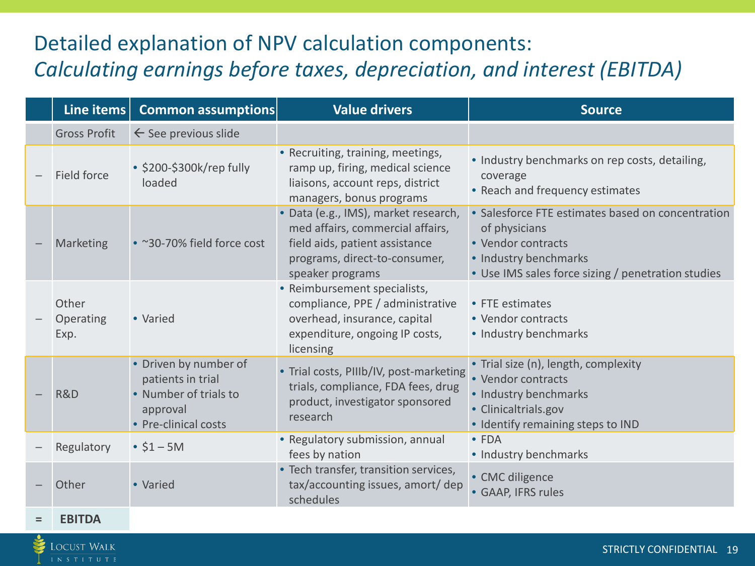## Detailed explanation of NPV calculation components: *Calculating earnings before taxes, depreciation, and interest (EBITDA)*

| Line items                 | <b>Common assumptions</b>                                                                               | <b>Value drivers</b>                                                                                                                                            | <b>Source</b>                                                                                                                                                           |
|----------------------------|---------------------------------------------------------------------------------------------------------|-----------------------------------------------------------------------------------------------------------------------------------------------------------------|-------------------------------------------------------------------------------------------------------------------------------------------------------------------------|
| <b>Gross Profit</b>        | $\leftarrow$ See previous slide                                                                         |                                                                                                                                                                 |                                                                                                                                                                         |
| Field force                | • \$200-\$300k/rep fully<br>loaded                                                                      | • Recruiting, training, meetings,<br>ramp up, firing, medical science<br>liaisons, account reps, district<br>managers, bonus programs                           | • Industry benchmarks on rep costs, detailing,<br>coverage<br>• Reach and frequency estimates                                                                           |
| Marketing                  | • ~30-70% field force cost                                                                              | · Data (e.g., IMS), market research,<br>med affairs, commercial affairs,<br>field aids, patient assistance<br>programs, direct-to-consumer,<br>speaker programs | • Salesforce FTE estimates based on concentration<br>of physicians<br>• Vendor contracts<br>• Industry benchmarks<br>• Use IMS sales force sizing / penetration studies |
| Other<br>Operating<br>Exp. | • Varied                                                                                                | • Reimbursement specialists,<br>compliance, PPE / administrative<br>overhead, insurance, capital<br>expenditure, ongoing IP costs,<br>licensing                 | • FTE estimates<br>• Vendor contracts<br>• Industry benchmarks                                                                                                          |
| R&D                        | • Driven by number of<br>patients in trial<br>• Number of trials to<br>approval<br>• Pre-clinical costs | • Trial costs, PIIIb/IV, post-marketing<br>trials, compliance, FDA fees, drug<br>product, investigator sponsored<br>research                                    | • Trial size (n), length, complexity<br>• Vendor contracts<br>• Industry benchmarks<br>• Clinicaltrials.gov<br>• Identify remaining steps to IND                        |
| Regulatory                 | $• $1 - 5M$                                                                                             | • Regulatory submission, annual<br>fees by nation                                                                                                               | $\bullet$ FDA<br>• Industry benchmarks                                                                                                                                  |
| Other                      | • Varied                                                                                                | • Tech transfer, transition services,<br>tax/accounting issues, amort/dep<br>schedules                                                                          | • CMC diligence<br>• GAAP, IFRS rules                                                                                                                                   |

**= EBITDA**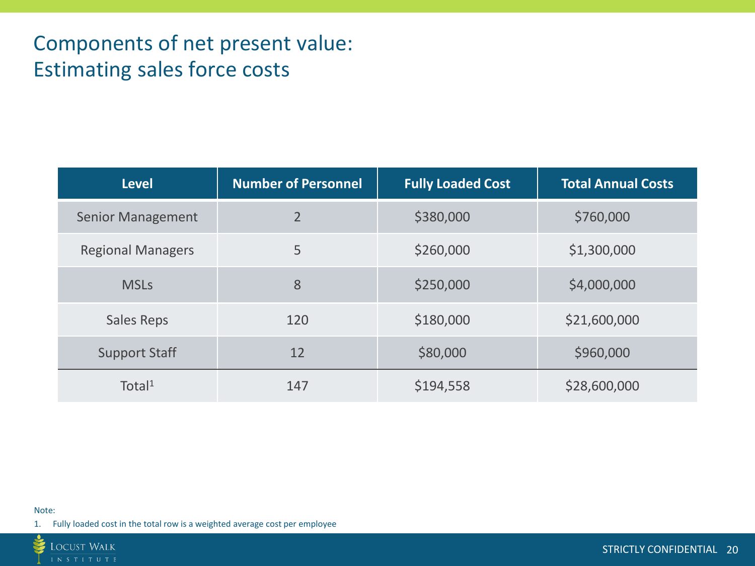## Components of net present value: Estimating sales force costs

| <b>Level</b>             | <b>Number of Personnel</b> | <b>Fully Loaded Cost</b> | <b>Total Annual Costs</b> |
|--------------------------|----------------------------|--------------------------|---------------------------|
| <b>Senior Management</b> | $\overline{2}$             | \$380,000                | \$760,000                 |
| <b>Regional Managers</b> | 5                          | \$260,000                | \$1,300,000               |
| <b>MSLs</b>              | 8                          | \$250,000                | \$4,000,000               |
| Sales Reps               | 120                        | \$180,000                | \$21,600,000              |
| <b>Support Staff</b>     | 12                         | \$80,000                 | \$960,000                 |
| Total <sup>1</sup>       | 147                        | \$194,558                | \$28,600,000              |

#### Note:

1. Fully loaded cost in the total row is a weighted average cost per employee

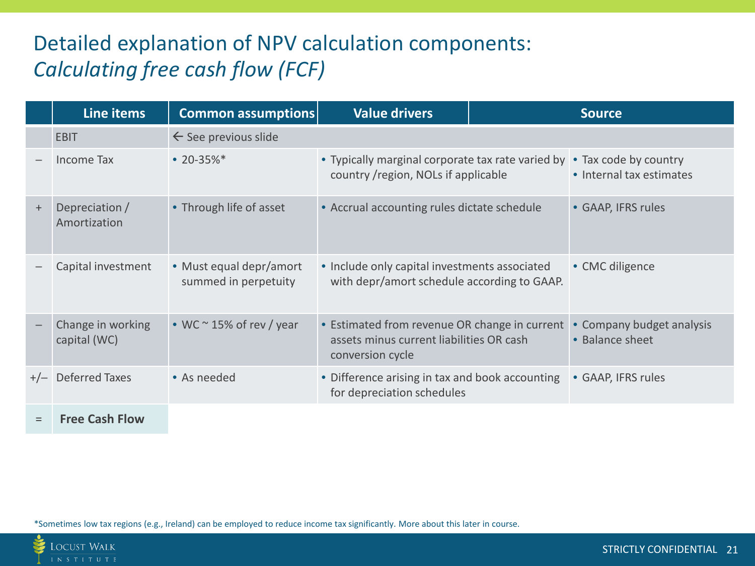## Detailed explanation of NPV calculation components: *Calculating free cash flow (FCF)*

|           | Line items                        | <b>Common assumptions</b>                       | <b>Value drivers</b>                                                                                          |                                                   | <b>Source</b>                                |
|-----------|-----------------------------------|-------------------------------------------------|---------------------------------------------------------------------------------------------------------------|---------------------------------------------------|----------------------------------------------|
|           | <b>EBIT</b>                       | $\leftarrow$ See previous slide                 |                                                                                                               |                                                   |                                              |
|           | Income Tax                        | • $20 - 35\%$ *                                 | • Typically marginal corporate tax rate varied by<br>country / region, NOLs if applicable                     | • Tax code by country<br>• Internal tax estimates |                                              |
| $\ddot{}$ | Depreciation /<br>Amortization    | • Through life of asset                         | • Accrual accounting rules dictate schedule                                                                   |                                                   | • GAAP, IFRS rules                           |
|           | Capital investment                | • Must equal depr/amort<br>summed in perpetuity | • Include only capital investments associated<br>with depr/amort schedule according to GAAP.                  |                                                   | • CMC diligence                              |
|           | Change in working<br>capital (WC) | • WC $\sim$ 15% of rev / year                   | • Estimated from revenue OR change in current<br>assets minus current liabilities OR cash<br>conversion cycle |                                                   | • Company budget analysis<br>• Balance sheet |
| $+/-$     | <b>Deferred Taxes</b>             | • As needed                                     | • Difference arising in tax and book accounting<br>for depreciation schedules                                 |                                                   | • GAAP, IFRS rules                           |
| $=$       | <b>Free Cash Flow</b>             |                                                 |                                                                                                               |                                                   |                                              |

\*Sometimes low tax regions (e.g., Ireland) can be employed to reduce income tax significantly. More about this later in course.

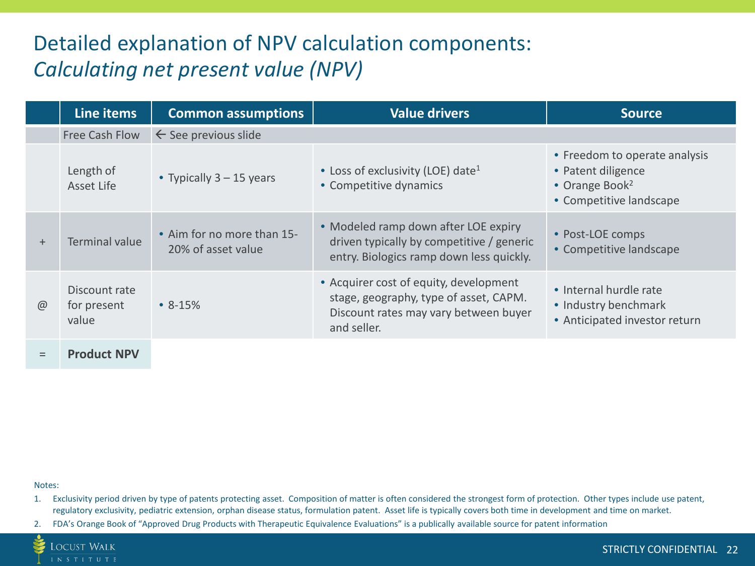## <span id="page-21-0"></span>Detailed explanation of NPV calculation components: *Calculating net present value (NPV)*

|             | Line items                            | <b>Common assumptions</b>                        | <b>Value drivers</b>                                                                                                                     | <b>Source</b>                                                                                                |
|-------------|---------------------------------------|--------------------------------------------------|------------------------------------------------------------------------------------------------------------------------------------------|--------------------------------------------------------------------------------------------------------------|
|             | Free Cash Flow                        | $\leftarrow$ See previous slide                  |                                                                                                                                          |                                                                                                              |
|             | Length of<br>Asset Life               | • Typically $3 - 15$ years                       | • Loss of exclusivity (LOE) date <sup>1</sup><br>• Competitive dynamics                                                                  | • Freedom to operate analysis<br>• Patent diligence<br>• Orange Book <sup>2</sup><br>• Competitive landscape |
| $+$         | <b>Terminal value</b>                 | • Aim for no more than 15-<br>20% of asset value | • Modeled ramp down after LOE expiry<br>driven typically by competitive / generic<br>entry. Biologics ramp down less quickly.            | • Post-LOE comps<br>• Competitive landscape                                                                  |
| $\circleda$ | Discount rate<br>for present<br>value | $\bullet$ 8-15%                                  | • Acquirer cost of equity, development<br>stage, geography, type of asset, CAPM.<br>Discount rates may vary between buyer<br>and seller. | • Internal hurdle rate<br>• Industry benchmark<br>• Anticipated investor return                              |
|             | <b>Product NPV</b>                    |                                                  |                                                                                                                                          |                                                                                                              |

Notes:

- 1. Exclusivity period driven by type of patents protecting asset. Composition of matter is often considered the strongest form of protection. Other types include use patent, regulatory exclusivity, pediatric extension, orphan disease status, formulation patent. Asset life is typically covers both time in development and time on market.
- 2. FDA's Orange Book of "Approved Drug Products with Therapeutic Equivalence Evaluations" is a publically available source for patent information

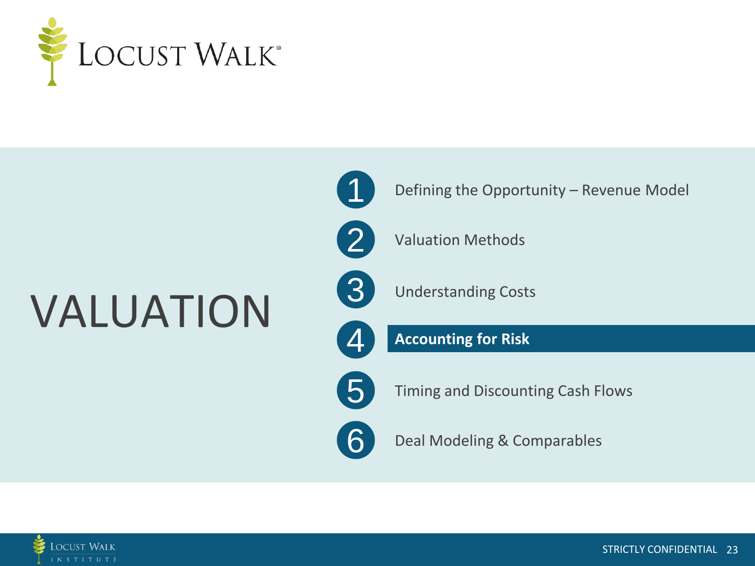

# VALUATION



Defining the Opportunity – Revenue Model

Valuation Methods

Understanding Costs

**Accounting for Risk**

5

Timing and Discounting Cash Flows

6

Deal Modeling & Comparables

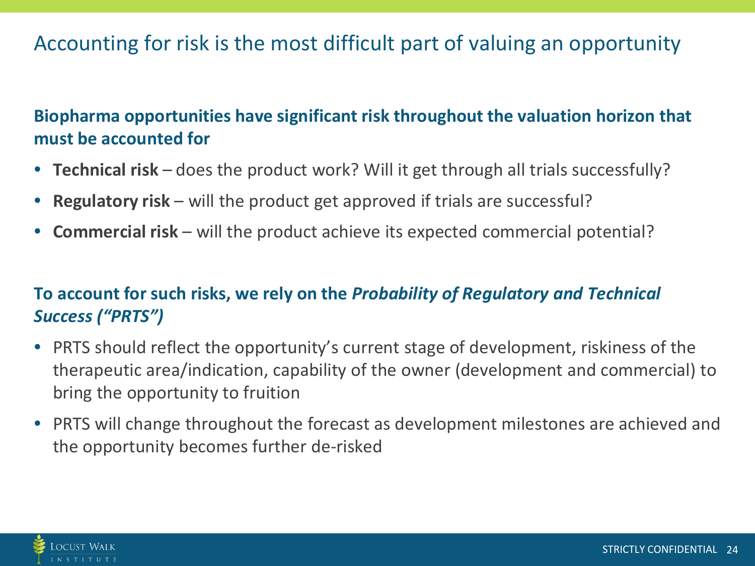## Accounting for risk is the most difficult part of valuing an opportunity

**Biopharma opportunities have significant risk throughout the valuation horizon that must be accounted for**

- **Technical risk**  does the product work? Will it get through all trials successfully?
- **Regulatory risk**  will the product get approved if trials are successful?
- **Commercial risk**  will the product achieve its expected commercial potential?

### **To account for such risks, we rely on the** *Probability of Regulatory and Technical Success ("PRTS")*

- PRTS should reflect the opportunity's current stage of development, riskiness of the therapeutic area/indication, capability of the owner (development and commercial) to bring the opportunity to fruition
- PRTS will change throughout the forecast as development milestones are achieved and the opportunity becomes further de-risked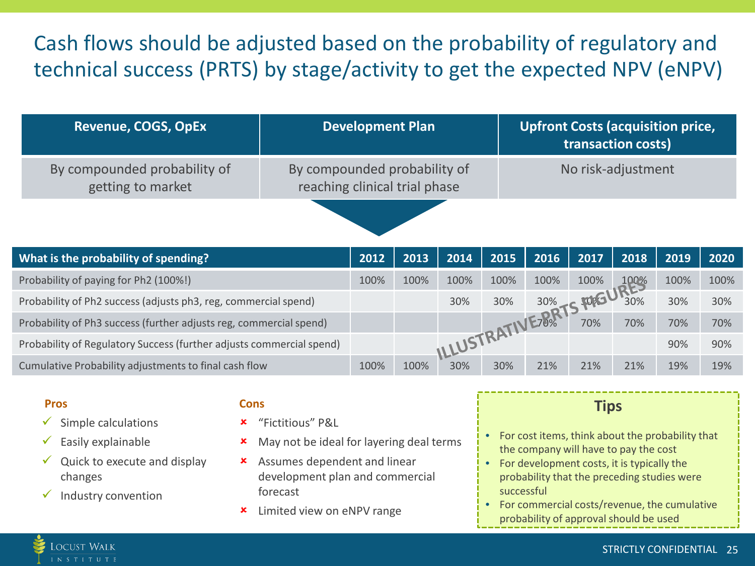## Cash flows should be adjusted based on the probability of regulatory and technical success (PRTS) by stage/activity to get the expected NPV (eNPV)

| <b>Revenue, COGS, OpEx</b>                        | <b>Development Plan</b>                                       | <b>Upfront Costs (acquisition price,</b><br>transaction costs) |
|---------------------------------------------------|---------------------------------------------------------------|----------------------------------------------------------------|
| By compounded probability of<br>getting to market | By compounded probability of<br>reaching clinical trial phase | No risk-adjustment                                             |
|                                                   |                                                               |                                                                |

| What is the probability of spending?                                 | 2012 | 2013 | 2014       | 2015 | 2016 | 2017 | 2018 | 2019 | 2020 |
|----------------------------------------------------------------------|------|------|------------|------|------|------|------|------|------|
| Probability of paying for Ph2 (100%!)                                | 100% | 100% | 100%       | 100% | 100% | 100% | 100% | 100% | 100% |
| Probability of Ph2 success (adjusts ph3, reg, commercial spend)      |      |      | 30%        | 30%  | 30%  |      | 30%  | 30%  | 30%  |
| Probability of Ph3 success (further adjusts reg, commercial spend)   |      |      |            |      | E78% | 70%  | 70%  | 70%  | 70%  |
| Probability of Regulatory Success (further adjusts commercial spend) |      |      | ILLUSTRATI |      |      |      |      | 90%  | 90%  |
| Cumulative Probability adjustments to final cash flow                | 100% | 100% | 30%        | 30%  | 21%  | 21%  | 21%  | 19%  | 19%  |

#### **Pros**

- $\checkmark$  Simple calculations
- $\checkmark$  Easily explainable
- $\checkmark$  Quick to execute and display changes
- $\checkmark$  Industry convention

Locust Walk N S T I T U T E

#### **Cons**

- "Fictitious" P&L
- **\*** May not be ideal for layering deal terms
- Assumes dependent and linear development plan and commercial forecast
- **\*** Limited view on eNPV range

#### **Tips**

- For cost items, think about the probability that the company will have to pay the cost
- For development costs, it is typically the probability that the preceding studies were successful
- For commercial costs/revenue, the cumulative probability of approval should be used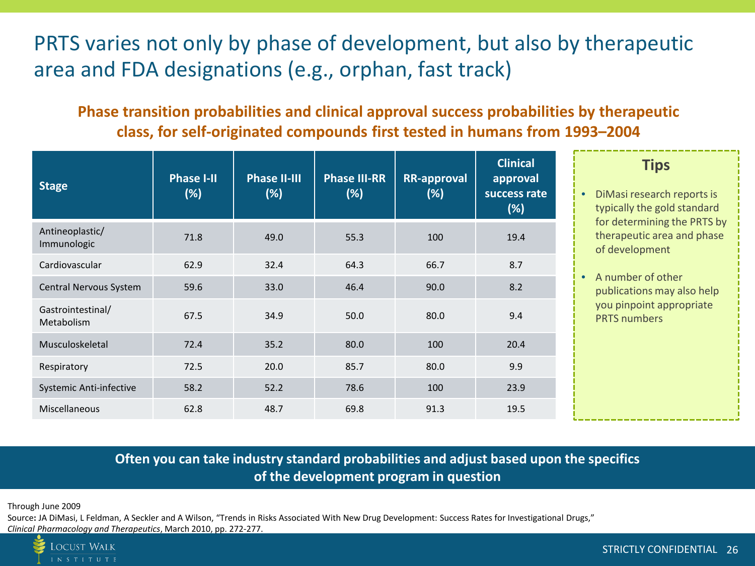## PRTS varies not only by phase of development, but also by therapeutic area and FDA designations (e.g., orphan, fast track)

#### **Phase transition probabilities and clinical approval success probabilities by therapeutic class, for self-originated compounds first tested in humans from 1993–2004**

| <b>Stage</b>                    | <b>Phase I-II</b><br>(%) | <b>Phase II-III</b><br>(%) | <b>Phase III-RR</b><br>(%) | <b>RR-approval</b><br>(%) | <b>Clinical</b><br>approval<br>success rate<br>(%) | <b>Tips</b><br>DiMasi research reports is<br>$\bullet$<br>typically the gold standard |
|---------------------------------|--------------------------|----------------------------|----------------------------|---------------------------|----------------------------------------------------|---------------------------------------------------------------------------------------|
| Antineoplastic/<br>Immunologic  | 71.8                     | 49.0                       | 55.3                       | 100                       | 19.4                                               | for determining the PRTS by<br>therapeutic area and phase<br>of development           |
| Cardiovascular                  | 62.9                     | 32.4                       | 64.3                       | 66.7                      | 8.7                                                |                                                                                       |
| Central Nervous System          | 59.6                     | 33.0                       | 46.4                       | 90.0                      | 8.2                                                | A number of other<br>publications may also help                                       |
| Gastrointestinal/<br>Metabolism | 67.5                     | 34.9                       | 50.0                       | 80.0                      | 9.4                                                | you pinpoint appropriate<br><b>PRTS</b> numbers                                       |
| Musculoskeletal                 | 72.4                     | 35.2                       | 80.0                       | 100                       | 20.4                                               |                                                                                       |
| Respiratory                     | 72.5                     | 20.0                       | 85.7                       | 80.0                      | 9.9                                                |                                                                                       |
| Systemic Anti-infective         | 58.2                     | 52.2                       | 78.6                       | 100                       | 23.9                                               |                                                                                       |
| Miscellaneous                   | 62.8                     | 48.7                       | 69.8                       | 91.3                      | 19.5                                               |                                                                                       |

#### **Often you can take industry standard probabilities and adjust based upon the specifics of the development program in question**

Through June 2009

Source**:** JA DiMasi, L Feldman, A Seckler and A Wilson, "Trends in Risks Associated With New Drug Development: Success Rates for Investigational Drugs," *Clinical Pharmacology and Therapeutics*, March 2010, pp. 272-277.

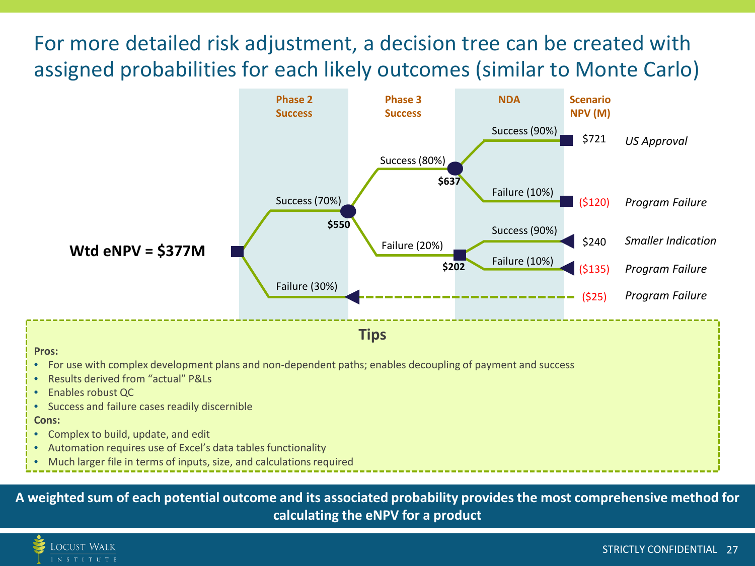## For more detailed risk adjustment, a decision tree can be created with assigned probabilities for each likely outcomes (similar to Monte Carlo)



• Much larger file in terms of inputs, size, and calculations required

**A weighted sum of each potential outcome and its associated probability provides the most comprehensive method for calculating the eNPV for a product**

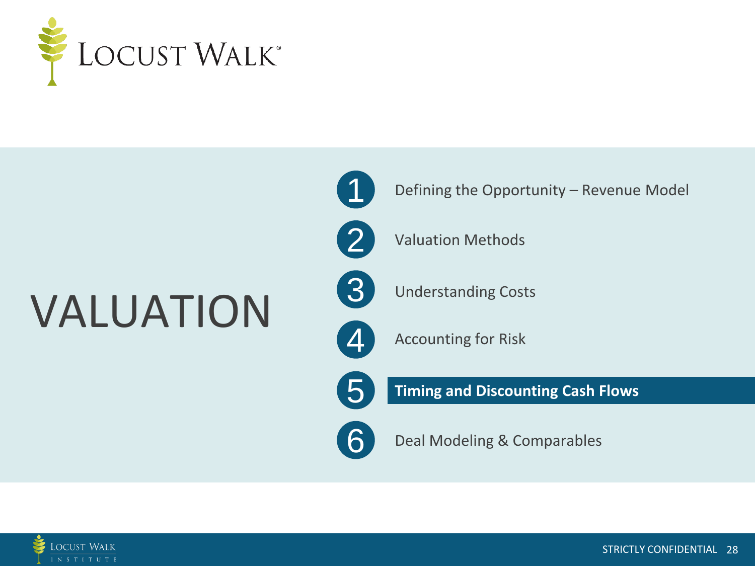

# VALUATION



Defining the Opportunity – Revenue Model



Valuation Methods



Understanding Costs



Accounting for Risk



**Timing and Discounting Cash Flows**



Deal Modeling & Comparables

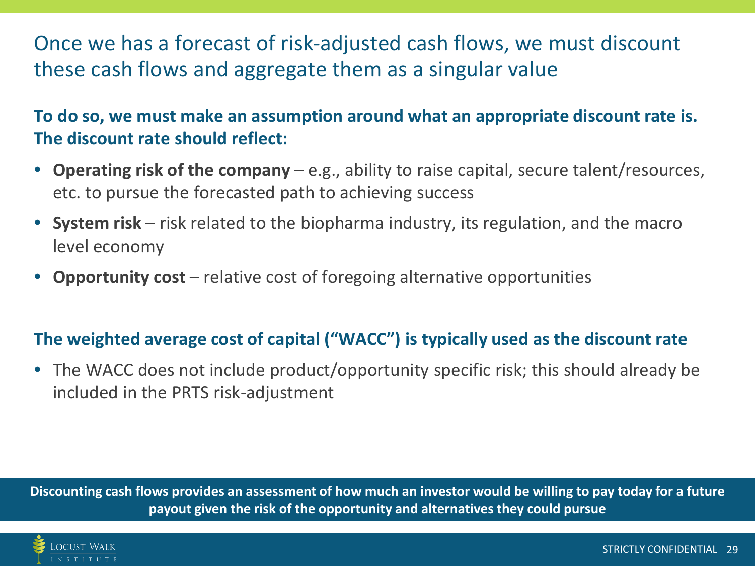## Once we has a forecast of risk-adjusted cash flows, we must discount these cash flows and aggregate them as a singular value

**To do so, we must make an assumption around what an appropriate discount rate is. The discount rate should reflect:**

- **Operating risk of the company**  e.g., ability to raise capital, secure talent/resources, etc. to pursue the forecasted path to achieving success
- **System risk**  risk related to the biopharma industry, its regulation, and the macro level economy
- **Opportunity cost**  relative cost of foregoing alternative opportunities

### **The weighted average cost of capital ("WACC") is typically used as the discount rate**

• The WACC does not include product/opportunity specific risk; this should already be included in the PRTS risk-adjustment

**Discounting cash flows provides an assessment of how much an investor would be willing to pay today for a future payout given the risk of the opportunity and alternatives they could pursue**

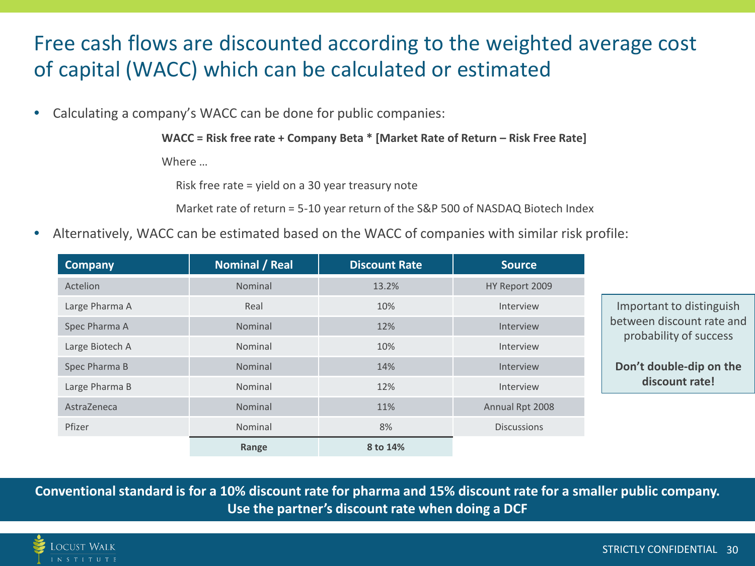## Free cash flows are discounted according to the weighted average cost of capital (WACC) which can be calculated or estimated

• Calculating a company's WACC can be done for public companies:

**WACC = Risk free rate + Company Beta \* [Market Rate of Return – Risk Free Rate]**

Where …

Risk free rate = yield on a 30 year treasury note

Market rate of return = 5-10 year return of the S&P 500 of NASDAQ Biotech Index

• Alternatively, WACC can be estimated based on the WACC of companies with similar risk profile:

| <b>Company</b>  | <b>Nominal / Real</b> | <b>Discount Rate</b> | <b>Source</b>      |
|-----------------|-----------------------|----------------------|--------------------|
| Actelion        | Nominal               | 13.2%                | HY Report 2009     |
| Large Pharma A  | Real                  | 10%                  | Interview          |
| Spec Pharma A   | Nominal               | 12%                  | Interview          |
| Large Biotech A | Nominal               | 10%                  | Interview          |
| Spec Pharma B   | Nominal               | 14%                  | Interview          |
| Large Pharma B  | Nominal               | 12%                  | Interview          |
| AstraZeneca     | Nominal               | 11%                  | Annual Rpt 2008    |
| Pfizer          | Nominal               | 8%                   | <b>Discussions</b> |
|                 | Range                 | 8 to 14%             |                    |

**Conventional standard is for a 10% discount rate for pharma and 15% discount rate for a smaller public company. Use the partner's discount rate when doing a DCF**

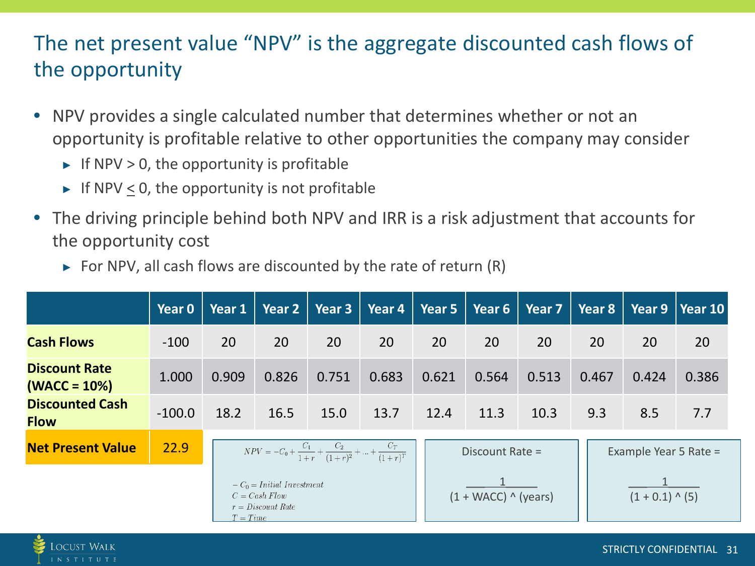## The net present value "NPV" is the aggregate discounted cash flows of the opportunity

- NPV provides a single calculated number that determines whether or not an opportunity is profitable relative to other opportunities the company may consider
	- $\triangleright$  If NPV > 0, the opportunity is profitable
	- $\triangleright$  If NPV  $\leq$  0, the opportunity is not profitable
- The driving principle behind both NPV and IRR is a risk adjustment that accounts for the opportunity cost
	- $\triangleright$  For NPV, all cash flows are discounted by the rate of return (R)

|                                        | Year 0   | Year 1 |                                                                                      | Year $2 \mid$ Year 3 | Year 4 | $\sqrt{\frac{2}{1}}$ Year 5 | Year 6               | Year 7 | $\vert$ Year 8        |                   | Year $9 \mid$ Year 10 |
|----------------------------------------|----------|--------|--------------------------------------------------------------------------------------|----------------------|--------|-----------------------------|----------------------|--------|-----------------------|-------------------|-----------------------|
| <b>Cash Flows</b>                      | $-100$   | 20     | 20                                                                                   | 20                   | 20     | 20                          | 20                   | 20     | 20                    | 20                | 20                    |
| <b>Discount Rate</b><br>$(WACC = 10%)$ | 1.000    | 0.909  | 0.826                                                                                | 0.751                | 0.683  | 0.621                       | 0.564                | 0.513  | 0.467                 | 0.424             | 0.386                 |
| <b>Discounted Cash</b><br><b>Flow</b>  | $-100.0$ | 18.2   | 16.5                                                                                 | 15.0                 | 13.7   | 12.4                        | 11.3                 | 10.3   | 9.3                   | 8.5               | 7.7                   |
| <b>Net Present Value</b>               | 22.9     |        | $NPV = -C_0 + \frac{C_1}{1+r} + \frac{C_2}{(1+r)^2} + \dots + \frac{C_T}{(1+r)^T}$   |                      |        |                             | Discount Rate =      |        | Example Year 5 Rate = |                   |                       |
|                                        |          |        | $-C_0 = Initial\ Investment$<br>$C = Cash$ Flow<br>$r = Discount Rate$<br>$T = Time$ |                      |        |                             | $(1 + WACC)$ (years) |        |                       | $(1 + 0.1)$ ^ (5) |                       |

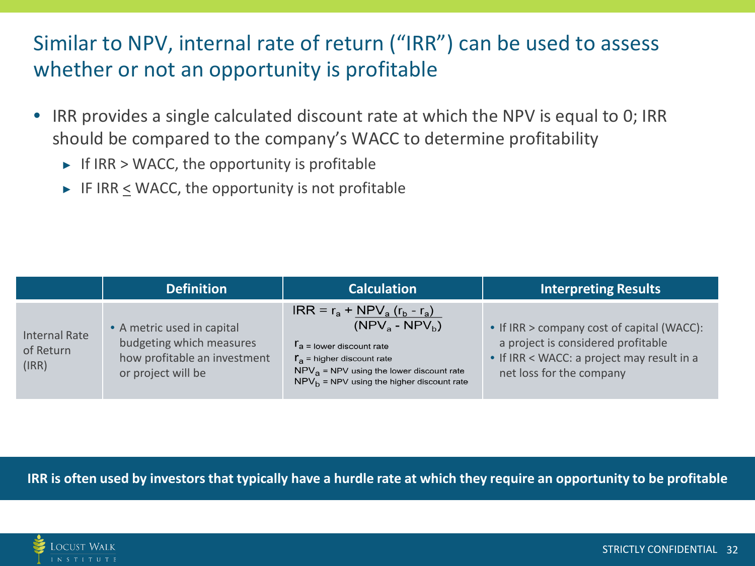## Similar to NPV, internal rate of return ("IRR") can be used to assess whether or not an opportunity is profitable

- IRR provides a single calculated discount rate at which the NPV is equal to 0; IRR should be compared to the company's WACC to determine profitability
	- $\triangleright$  If IRR > WACC, the opportunity is profitable
	- $\triangleright$  IF IRR < WACC, the opportunity is not profitable

|                                     | <b>Definition</b>                                                                                            | <b>Calculation</b>                                                                                                                                                                                                             | <b>Interpreting Results</b>                                                                                                                                |
|-------------------------------------|--------------------------------------------------------------------------------------------------------------|--------------------------------------------------------------------------------------------------------------------------------------------------------------------------------------------------------------------------------|------------------------------------------------------------------------------------------------------------------------------------------------------------|
| Internal Rate<br>of Return<br>(IRR) | • A metric used in capital<br>budgeting which measures<br>how profitable an investment<br>or project will be | $IRR = r_a + NPV_a (r_b - r_a)$<br>$(NPVa - NPVb)$<br>$r_a$ = lower discount rate<br>$\Gamma$ <sub>a</sub> = higher discount rate<br>$NPVa$ = NPV using the lower discount rate<br>$NPVb$ = NPV using the higher discount rate | • If IRR > company cost of capital (WACC):<br>a project is considered profitable<br>• If IRR < WACC: a project may result in a<br>net loss for the company |

**IRR is often used by investors that typically have a hurdle rate at which they require an opportunity to be profitable**

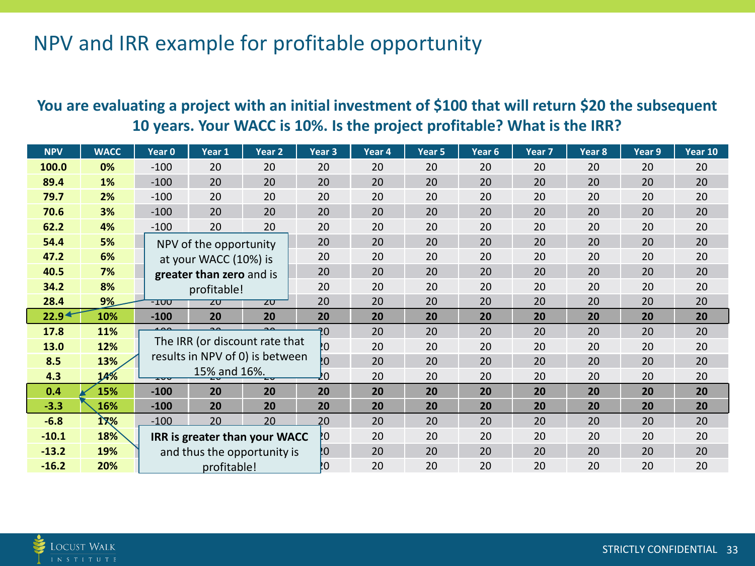## NPV and IRR example for profitable opportunity

#### **You are evaluating a project with an initial investment of \$100 that will return \$20 the subsequent 10 years. Your WACC is 10%. Is the project profitable? What is the IRR?**

| <b>NPV</b>        | <b>WACC</b> | Year 0 | Year 1                   | Year <sub>2</sub>               | Year <sub>3</sub> | Year 4 | Year 5 | Year 6 | Year 7    | Year 8 | Year 9    | Year 10 |
|-------------------|-------------|--------|--------------------------|---------------------------------|-------------------|--------|--------|--------|-----------|--------|-----------|---------|
| 100.0             | 0%          | $-100$ | 20                       | 20                              | 20                | 20     | 20     | 20     | 20        | 20     | 20        | 20      |
| 89.4              | 1%          | $-100$ | 20                       | 20                              | 20                | 20     | 20     | 20     | 20        | 20     | 20        | 20      |
| 79.7              | 2%          | $-100$ | 20                       | 20                              | 20                | 20     | 20     | 20     | 20        | 20     | 20        | 20      |
| 70.6              | 3%          | $-100$ | 20                       | 20                              | 20                | 20     | 20     | 20     | 20        | 20     | 20        | 20      |
| 62.2              | 4%          | $-100$ | 20                       | 20                              | 20                | 20     | 20     | 20     | 20        | 20     | 20        | 20      |
| 54.4              | 5%          |        | NPV of the opportunity   |                                 | 20                | 20     | 20     | 20     | 20        | 20     | 20        | 20      |
| 47.2              | 6%          |        | at your WACC (10%) is    |                                 | 20                | 20     | 20     | 20     | 20        | 20     | 20        | 20      |
| 40.5              | 7%          |        | greater than zero and is |                                 | 20                | 20     | 20     | 20     | 20        | 20     | 20        | 20      |
| 34.2              | 8%          |        | profitable!              |                                 | 20                | 20     | 20     | 20     | 20        | 20     | 20        | 20      |
| 28.4              | 9%          | $-100$ | ZU                       | ZU                              | 20                | 20     | 20     | 20     | 20        | 20     | 20        | 20      |
| 22.9 <sup>4</sup> | 10%         | $-100$ | 20                       | 20                              | 20                | 20     | 20     | 20     | <b>20</b> | 20     | <b>20</b> | 20      |
| 17.8              | 11%         |        |                          |                                 | 20                | 20     | 20     | 20     | 20        | 20     | 20        | 20      |
| 13.0              | 12%         |        |                          | The IRR (or discount rate that  | PO.               | 20     | 20     | 20     | 20        | 20     | 20        | 20      |
| 8.5               | 13%         |        |                          | results in NPV of 0) is between | ĮΟ                | 20     | 20     | 20     | 20        | 20     | 20        | 20      |
| 4.3               | 14%         | ᠴᠣᠣ    | 15% and 16%.             | ᡓᠣ                              | 20                | 20     | 20     | 20     | 20        | 20     | 20        | 20      |
| 0.4               | 15%         | $-100$ | 20                       | 20                              | 20                | 20     | 20     | 20     | 20        | 20     | 20        | 20      |
| $-3.3$            | 16%         | $-100$ | 20                       | 20                              | 20                | 20     | 20     | 20     | 20        | 20     | 20        | 20      |
| $-6.8$            | 17%         | $-100$ | 20                       | 20                              | 20                | 20     | 20     | 20     | 20        | 20     | 20        | 20      |
| $-10.1$           | 18%         |        |                          | IRR is greater than your WACC   | PO.               | 20     | 20     | 20     | 20        | 20     | 20        | 20      |
| $-13.2$           | 19%         |        |                          | and thus the opportunity is     | Į0                | 20     | 20     | 20     | 20        | 20     | 20        | 20      |
| $-16.2$           | 20%         |        | profitable!              |                                 | PO.               | 20     | 20     | 20     | 20        | 20     | 20        | 20      |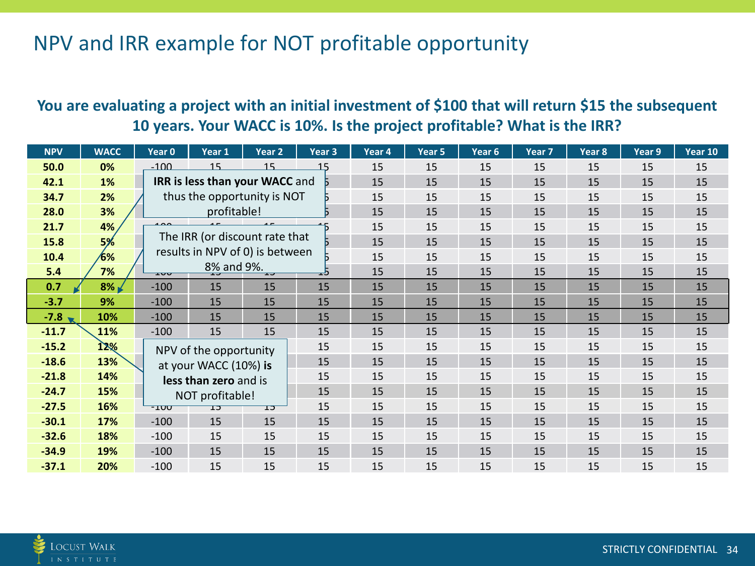## NPV and IRR example for NOT profitable opportunity

#### **You are evaluating a project with an initial investment of \$100 that will return \$15 the subsequent 10 years. Your WACC is 10%. Is the project profitable? What is the IRR?**

| <b>NPV</b> | <b>WACC</b> | Year 0 | Year 1                          | Year 2                         | Year 3 | Year 4 | Year 5 | Year 6 | Year <sub>7</sub> | Year <sub>8</sub> | Year 9 | Year 10 |
|------------|-------------|--------|---------------------------------|--------------------------------|--------|--------|--------|--------|-------------------|-------------------|--------|---------|
| 50.0       | 0%          | $-100$ | 15                              | 15                             | 15     | 15     | 15     | 15     | 15                | 15                | 15     | 15      |
| 42.1       | 1%          |        |                                 | IRR is less than your WACC and |        | 15     | 15     | 15     | 15                | 15                | 15     | 15      |
| 34.7       | 2%          |        |                                 | thus the opportunity is NOT    |        | 15     | 15     | 15     | 15                | 15                | 15     | 15      |
| 28.0       | 3%          |        | profitable!                     |                                |        | 15     | 15     | 15     | 15                | 15                | 15     | 15      |
| 21.7       | 4%          |        |                                 |                                |        | 15     | 15     | 15     | 15                | 15                | 15     | 15      |
| 15.8       | 5%          |        |                                 | The IRR (or discount rate that |        | 15     | 15     | 15     | 15                | 15                | 15     | 15      |
| 10.4       | 6%          |        | results in NPV of 0) is between |                                |        | 15     | 15     | 15     | 15                | 15                | 15     | 15      |
| 5.4        | 7%          | ᅭᇦ     | 8% and 9%.                      | ᠽ                              | ط≖     | 15     | 15     | 15     | 15                | 15                | 15     | 15      |
| 0.7        | $8\%$       | $-100$ | 15                              | 15                             | 15     | 15     | 15     | 15     | 15                | 15                | 15     | 15      |
| $-3.7$     | 9%          | $-100$ | 15                              | 15                             | 15     | 15     | 15     | 15     | 15                | 15                | 15     | 15      |
| $-7.8$     | 10%         | $-100$ | 15                              | 15                             | 15     | 15     | 15     | 15     | 15                | 15                | 15     | 15      |
| $-11.7$    | 11%         | $-100$ | 15                              | 15                             | 15     | 15     | 15     | 15     | 15                | 15                | 15     | 15      |
| $-15.2$    | 12%         |        | NPV of the opportunity          |                                | 15     | 15     | 15     | 15     | 15                | 15                | 15     | 15      |
| $-18.6$    | 13%         |        | at your WACC (10%) is           |                                | 15     | 15     | 15     | 15     | 15                | 15                | 15     | 15      |
| $-21.8$    | 14%         |        | less than zero and is           |                                | 15     | 15     | 15     | 15     | 15                | 15                | 15     | 15      |
| $-24.7$    | 15%         |        | NOT profitable!                 |                                | 15     | 15     | 15     | 15     | 15                | 15                | 15     | 15      |
| $-27.5$    | 16%         | ᠇ᠴᡂ    | ᠊ᡄᠴ                             | ᠴ᠍                             | 15     | 15     | 15     | 15     | 15                | 15                | 15     | 15      |
| $-30.1$    | 17%         | $-100$ | 15                              | 15                             | 15     | 15     | 15     | 15     | 15                | 15                | 15     | 15      |
| $-32.6$    | 18%         | $-100$ | 15                              | 15                             | 15     | 15     | 15     | 15     | 15                | 15                | 15     | 15      |
| $-34.9$    | 19%         | $-100$ | 15                              | 15                             | 15     | 15     | 15     | 15     | 15                | 15                | 15     | 15      |
| $-37.1$    | 20%         | $-100$ | 15                              | 15                             | 15     | 15     | 15     | 15     | 15                | 15                | 15     | 15      |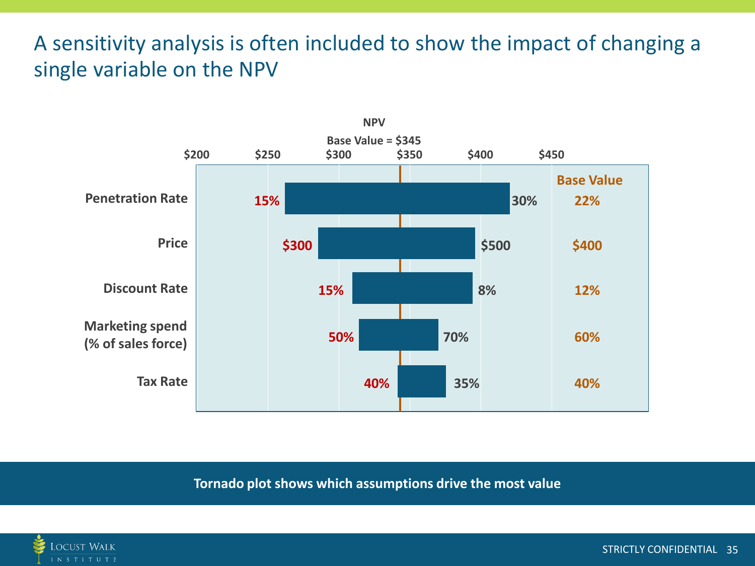## A sensitivity analysis is often included to show the impact of changing a single variable on the NPV



**Tornado plot shows which assumptions drive the most value**



STRICTLY CONFIDENTIAL 35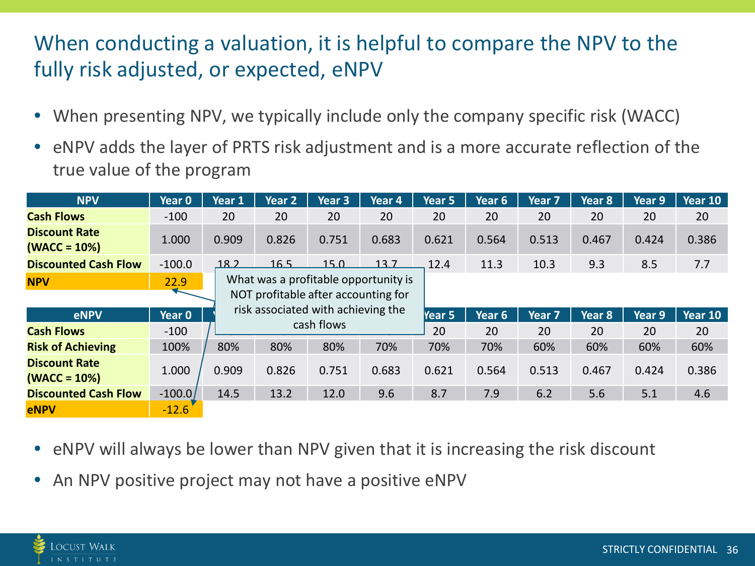## When conducting a valuation, it is helpful to compare the NPV to the fully risk adjusted, or expected, eNPV

- When presenting NPV, we typically include only the company specific risk (WACC)
- eNPV adds the layer of PRTS risk adjustment and is a more accurate reflection of the true value of the program

| <b>NPV</b>                             | Year 0   | Year 1 | Year 2                                                                      | Year 3     | Year 4 | Year 5 | Year 6 | Year 7            | Year 8 | Year 9 | Year 10 |
|----------------------------------------|----------|--------|-----------------------------------------------------------------------------|------------|--------|--------|--------|-------------------|--------|--------|---------|
| <b>Cash Flows</b>                      | $-100$   | 20     | 20                                                                          | 20         | 20     | 20     | 20     | 20                | 20     | 20     | 20      |
| <b>Discount Rate</b><br>$(WACC = 10%)$ | 1.000    | 0.909  | 0.826                                                                       | 0.751      | 0.683  | 0.621  | 0.564  | 0.513             | 0.467  | 0.424  | 0.386   |
| <b>Discounted Cash Flow</b>            | $-100.0$ | 18.2   | 16.5                                                                        | 15.0       | 13.7   | 12.4   | 11.3   | 10.3              | 9.3    | 8.5    | 7.7     |
| <b>NPV</b>                             | 22.9     |        | What was a profitable opportunity is<br>NOT profitable after accounting for |            |        |        |        |                   |        |        |         |
|                                        |          |        |                                                                             |            |        |        |        |                   |        |        |         |
| eNPV                                   | Year 0   |        | risk associated with achieving the                                          |            |        | Year 5 | Year 6 | Year <sub>7</sub> | Year 8 | Year 9 | Year 10 |
| <b>Cash Flows</b>                      |          |        |                                                                             | cash flows |        |        |        |                   |        |        |         |
|                                        | $-100$   |        |                                                                             |            |        | 20     | 20     | 20                | 20     | 20     | 20      |
| <b>Risk of Achieving</b>               | 100%     | 80%    | 80%                                                                         | 80%        | 70%    | 70%    | 70%    | 60%               | 60%    | 60%    | 60%     |
| <b>Discount Rate</b><br>$(WACC = 10%)$ | 1.000    | 0.909  | 0.826                                                                       | 0.751      | 0.683  | 0.621  | 0.564  | 0.513             | 0.467  | 0.424  | 0.386   |
| <b>Discounted Cash Flow</b>            | $-100.0$ | 14.5   | 13.2                                                                        | 12.0       | 9.6    | 8.7    | 7.9    | 6.2               | 5.6    | 5.1    | 4.6     |

- eNPV will always be lower than NPV given that it is increasing the risk discount
- An NPV positive project may not have a positive eNPV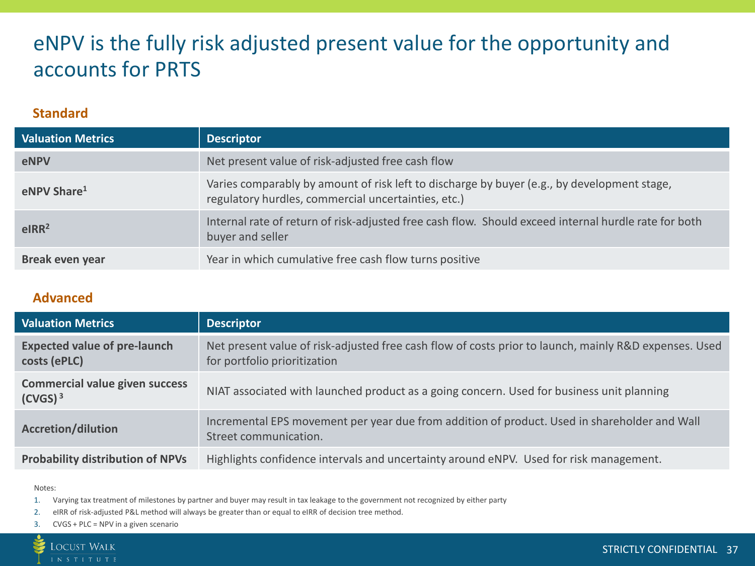## eNPV is the fully risk adjusted present value for the opportunity and accounts for PRTS

#### **Standard**

| <b>Valuation Metrics</b> | <b>Descriptor</b>                                                                                                                                  |
|--------------------------|----------------------------------------------------------------------------------------------------------------------------------------------------|
| <b>eNPV</b>              | Net present value of risk-adjusted free cash flow                                                                                                  |
| eNPV Share <sup>1</sup>  | Varies comparably by amount of risk left to discharge by buyer (e.g., by development stage,<br>regulatory hurdles, commercial uncertainties, etc.) |
| elRR <sup>2</sup>        | Internal rate of return of risk-adjusted free cash flow. Should exceed internal hurdle rate for both<br>buyer and seller                           |
| <b>Break even year</b>   | Year in which cumulative free cash flow turns positive                                                                                             |

#### **Advanced**

| <b>Valuation Metrics</b>                                     | <b>Descriptor</b>                                                                                                                     |
|--------------------------------------------------------------|---------------------------------------------------------------------------------------------------------------------------------------|
| <b>Expected value of pre-launch</b><br>costs (ePLC)          | Net present value of risk-adjusted free cash flow of costs prior to launch, mainly R&D expenses. Used<br>for portfolio prioritization |
| <b>Commercial value given success</b><br>(CVGS) <sup>3</sup> | NIAT associated with launched product as a going concern. Used for business unit planning                                             |
| <b>Accretion/dilution</b>                                    | Incremental EPS movement per year due from addition of product. Used in shareholder and Wall<br>Street communication.                 |
| <b>Probability distribution of NPVs</b>                      | Highlights confidence intervals and uncertainty around eNPV. Used for risk management.                                                |

#### Notes:

1. Varying tax treatment of milestones by partner and buyer may result in tax leakage to the government not recognized by either party

2. eIRR of risk-adjusted P&L method will always be greater than or equal to eIRR of decision tree method.

3. CVGS + PLC = NPV in a given scenario

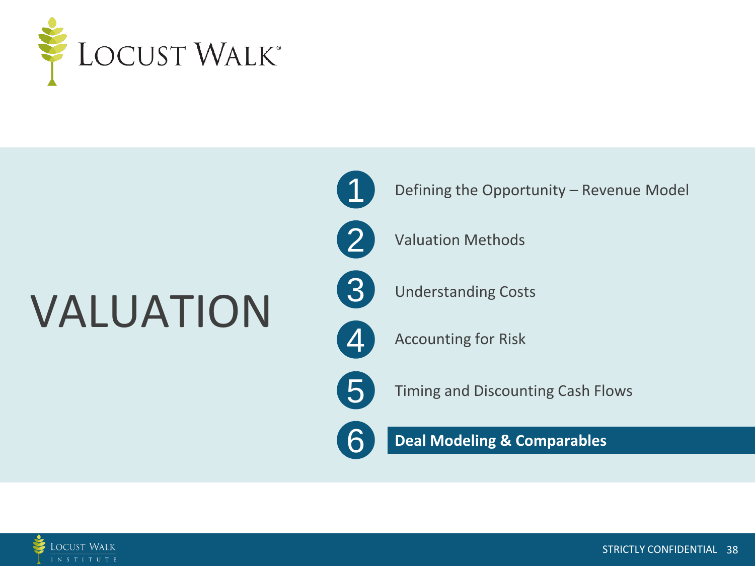

## VALUATION



Defining the Opportunity – Revenue Model



Valuation Methods



Understanding Costs

 $\boldsymbol{\varDelta}$ Accounting for Risk

5

6

Timing and Discounting Cash Flows

**Deal Modeling & Comparables**

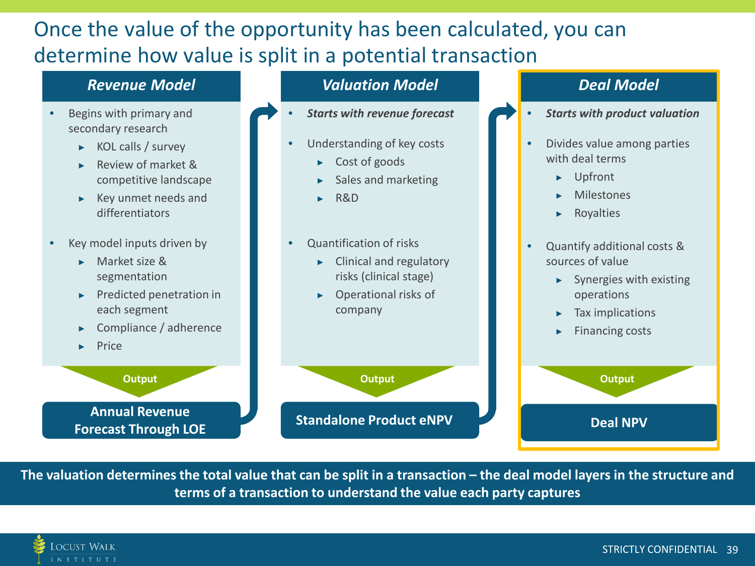## Once the value of the opportunity has been calculated, you can determine how value is split in a potential transaction

#### *Revenue Model*

- Begins with primary and secondary research
	- $\triangleright$  KOL calls / survey
	- ▶ Review of market & competitive landscape
	- ▶ Key unmet needs and differentiators
- Key model inputs driven by
	- ▶ Market size & segmentation
	- **Predicted penetration in** each segment
	- Compliance / adherence
	- **Price**

**Output Annual Revenue** 

**Forecast Through LOE**

#### *Valuation Model*

- *Starts with revenue forecast*
	- Understanding of key costs
		- ▶ Cost of goods
		- Sales and marketing
		- ▶ R&D
	- Quantification of risks
		- ▶ Clinical and regulatory risks (clinical stage)
		- Operational risks of company

**Standalone Product eNPV Deal NPV** 

#### *Deal Model*

- *Starts with product valuation*
- Divides value among parties with deal terms
	- ▶ Upfront
	- **Milestones**
	- ▶ Royalties
- Quantify additional costs & sources of value
	- $\blacktriangleright$  Synergies with existing operations
	- ▶ Tax implications
	- ▶ Financing costs



**The valuation determines the total value that can be split in a transaction – the deal model layers in the structure and terms of a transaction to understand the value each party captures**

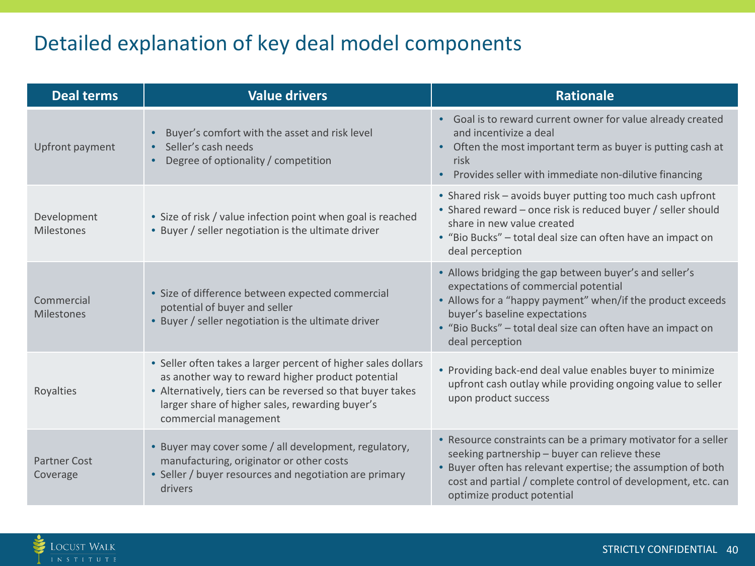## Detailed explanation of key deal model components

| <b>Deal terms</b>                | <b>Value drivers</b>                                                                                                                                                                                                                                         | <b>Rationale</b>                                                                                                                                                                                                                                                                |
|----------------------------------|--------------------------------------------------------------------------------------------------------------------------------------------------------------------------------------------------------------------------------------------------------------|---------------------------------------------------------------------------------------------------------------------------------------------------------------------------------------------------------------------------------------------------------------------------------|
| Upfront payment                  | Buyer's comfort with the asset and risk level<br>$\bullet$<br>Seller's cash needs<br>$\bullet$<br>Degree of optionality / competition<br>$\bullet$                                                                                                           | • Goal is to reward current owner for value already created<br>and incentivize a deal<br>Often the most important term as buyer is putting cash at<br>risk<br>Provides seller with immediate non-dilutive financing<br>$\bullet$                                                |
| Development<br><b>Milestones</b> | • Size of risk / value infection point when goal is reached<br>• Buyer / seller negotiation is the ultimate driver                                                                                                                                           | • Shared risk - avoids buyer putting too much cash upfront<br>• Shared reward – once risk is reduced buyer / seller should<br>share in new value created<br>• "Bio Bucks" - total deal size can often have an impact on<br>deal perception                                      |
| Commercial<br><b>Milestones</b>  | • Size of difference between expected commercial<br>potential of buyer and seller<br>. Buyer / seller negotiation is the ultimate driver                                                                                                                     | • Allows bridging the gap between buyer's and seller's<br>expectations of commercial potential<br>• Allows for a "happy payment" when/if the product exceeds<br>buyer's baseline expectations<br>• "Bio Bucks" - total deal size can often have an impact on<br>deal perception |
| Royalties                        | • Seller often takes a larger percent of higher sales dollars<br>as another way to reward higher product potential<br>• Alternatively, tiers can be reversed so that buyer takes<br>larger share of higher sales, rewarding buyer's<br>commercial management | • Providing back-end deal value enables buyer to minimize<br>upfront cash outlay while providing ongoing value to seller<br>upon product success                                                                                                                                |
| <b>Partner Cost</b><br>Coverage  | • Buyer may cover some / all development, regulatory,<br>manufacturing, originator or other costs<br>• Seller / buyer resources and negotiation are primary<br>drivers                                                                                       | • Resource constraints can be a primary motivator for a seller<br>seeking partnership - buyer can relieve these<br>• Buyer often has relevant expertise; the assumption of both<br>cost and partial / complete control of development, etc. can<br>optimize product potential   |

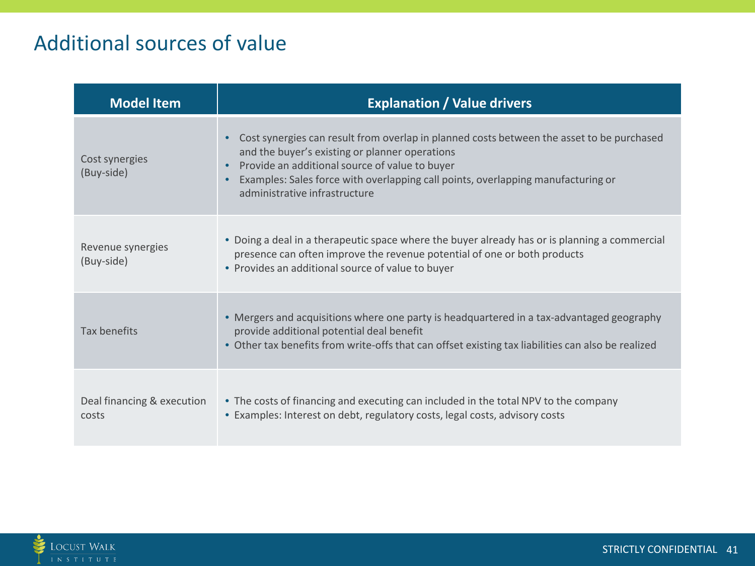## Additional sources of value

| <b>Model Item</b>                   | <b>Explanation / Value drivers</b>                                                                                                                                                                                                                                                                                 |
|-------------------------------------|--------------------------------------------------------------------------------------------------------------------------------------------------------------------------------------------------------------------------------------------------------------------------------------------------------------------|
| Cost synergies<br>(Buy-side)        | Cost synergies can result from overlap in planned costs between the asset to be purchased<br>and the buyer's existing or planner operations<br>Provide an additional source of value to buyer<br>Examples: Sales force with overlapping call points, overlapping manufacturing or<br>administrative infrastructure |
| Revenue synergies<br>(Buy-side)     | • Doing a deal in a therapeutic space where the buyer already has or is planning a commercial<br>presence can often improve the revenue potential of one or both products<br>• Provides an additional source of value to buyer                                                                                     |
| <b>Tax benefits</b>                 | • Mergers and acquisitions where one party is headquartered in a tax-advantaged geography<br>provide additional potential deal benefit<br>• Other tax benefits from write-offs that can offset existing tax liabilities can also be realized                                                                       |
| Deal financing & execution<br>costs | • The costs of financing and executing can included in the total NPV to the company<br>• Examples: Interest on debt, regulatory costs, legal costs, advisory costs                                                                                                                                                 |

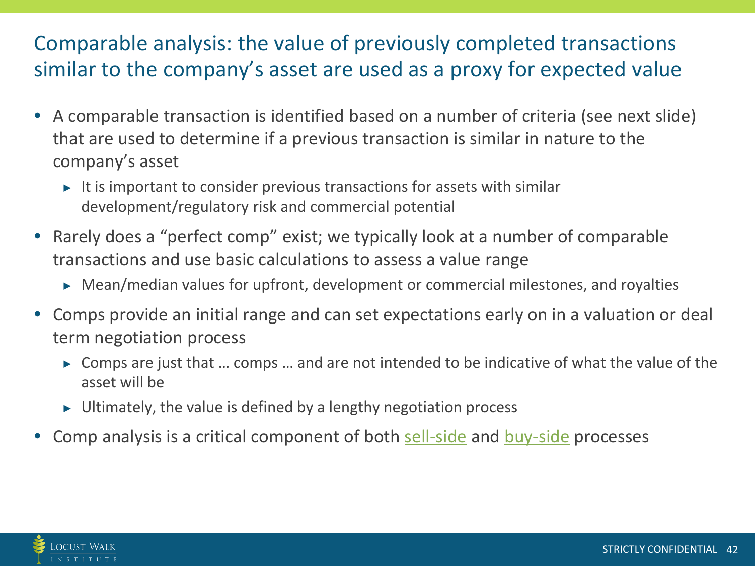## Comparable analysis: the value of previously completed transactions similar to the company's asset are used as a proxy for expected value

- A comparable transaction is identified based on a number of criteria (see next slide) that are used to determine if a previous transaction is similar in nature to the company's asset
	- $\triangleright$  It is important to consider previous transactions for assets with similar development/regulatory risk and commercial potential
- Rarely does a "perfect comp" exist; we typically look at a number of comparable transactions and use basic calculations to assess a value range
	- $\triangleright$  Mean/median values for upfront, development or commercial milestones, and royalties
- Comps provide an initial range and can set expectations early on in a valuation or deal term negotiation process
	- ▶ Comps are just that ... comps ... and are not intended to be indicative of what the value of the asset will be
	- $\triangleright$  Ultimately, the value is defined by a lengthy negotiation process
- Comp analysis is a critical component of both [sell-side](#page-21-0) and buy-side processes

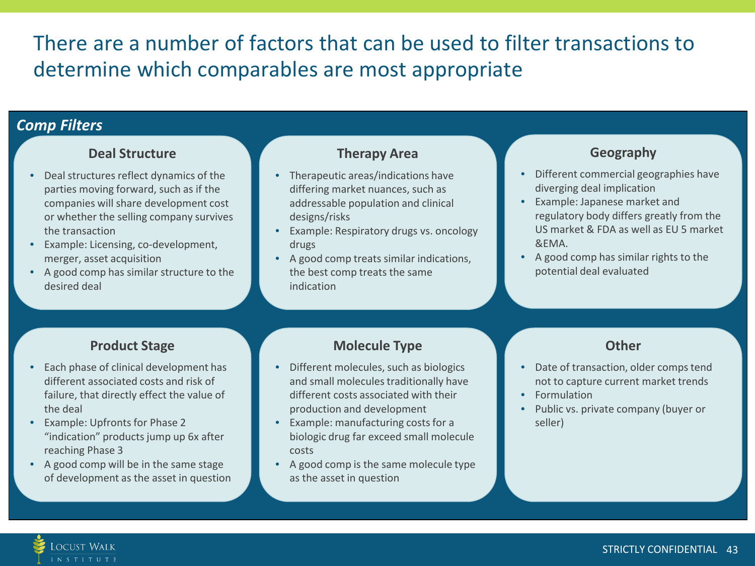## There are a number of factors that can be used to filter transactions to determine which comparables are most appropriate

#### *Comp Filters*

#### **Deal Structure**

- Deal structures reflect dynamics of the parties moving forward, such as if the companies will share development cost or whether the selling company survives the transaction
- Example: Licensing, co-development, merger, asset acquisition
- A good comp has similar structure to the desired deal

#### **Therapy Area**

- Therapeutic areas/indications have differing market nuances, such as addressable population and clinical designs/risks
- Example: Respiratory drugs vs. oncology drugs
- A good comp treats similar indications, the best comp treats the same indication

#### **Geography**

- Different commercial geographies have diverging deal implication
- Example: Japanese market and regulatory body differs greatly from the US market & FDA as well as EU 5 market &EMA.
- A good comp has similar rights to the potential deal evaluated

#### **Product Stage**

- Each phase of clinical development has different associated costs and risk of failure, that directly effect the value of the deal
- Example: Upfronts for Phase 2 "indication" products jump up 6x after reaching Phase 3
- A good comp will be in the same stage of development as the asset in question

#### **Molecule Type**

- Different molecules, such as biologics and small molecules traditionally have different costs associated with their production and development
- Example: manufacturing costs for a biologic drug far exceed small molecule costs
- A good comp is the same molecule type as the asset in question

#### **Other**

- Date of transaction, older comps tend not to capture current market trends
- Formulation
- Public vs. private company (buyer or seller)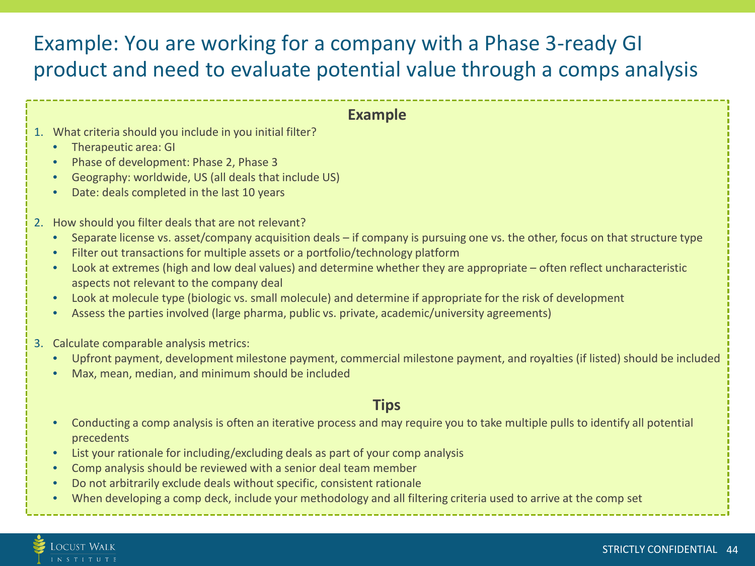## Example: You are working for a company with a Phase 3-ready GI product and need to evaluate potential value through a comps analysis

#### **Example**

- 1. What criteria should you include in you initial filter?
	- Therapeutic area: GI
	- Phase of development: Phase 2, Phase 3
	- Geography: worldwide, US (all deals that include US)
	- Date: deals completed in the last 10 years
- 2. How should you filter deals that are not relevant?
	- Separate license vs. asset/company acquisition deals if company is pursuing one vs. the other, focus on that structure type
	- Filter out transactions for multiple assets or a portfolio/technology platform
	- Look at extremes (high and low deal values) and determine whether they are appropriate often reflect uncharacteristic aspects not relevant to the company deal
	- Look at molecule type (biologic vs. small molecule) and determine if appropriate for the risk of development
	- Assess the parties involved (large pharma, public vs. private, academic/university agreements)
- 3. Calculate comparable analysis metrics:
	- Upfront payment, development milestone payment, commercial milestone payment, and royalties (if listed) should be included
	- Max, mean, median, and minimum should be included

#### **Tips**

- Conducting a comp analysis is often an iterative process and may require you to take multiple pulls to identify all potential precedents
- List your rationale for including/excluding deals as part of your comp analysis
- Comp analysis should be reviewed with a senior deal team member
- Do not arbitrarily exclude deals without specific, consistent rationale
- When developing a comp deck, include your methodology and all filtering criteria used to arrive at the comp set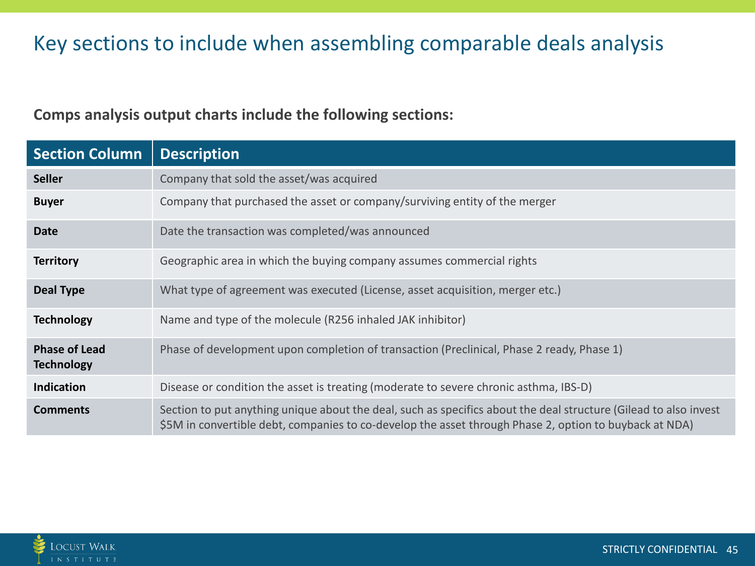## Key sections to include when assembling comparable deals analysis

#### **Comps analysis output charts include the following sections:**

| <b>Section Column</b>                     | <b>Description</b>                                                                                                                                                                                                         |
|-------------------------------------------|----------------------------------------------------------------------------------------------------------------------------------------------------------------------------------------------------------------------------|
| <b>Seller</b>                             | Company that sold the asset/was acquired                                                                                                                                                                                   |
| <b>Buyer</b>                              | Company that purchased the asset or company/surviving entity of the merger                                                                                                                                                 |
| <b>Date</b>                               | Date the transaction was completed/was announced                                                                                                                                                                           |
| <b>Territory</b>                          | Geographic area in which the buying company assumes commercial rights                                                                                                                                                      |
| Deal Type                                 | What type of agreement was executed (License, asset acquisition, merger etc.)                                                                                                                                              |
| <b>Technology</b>                         | Name and type of the molecule (R256 inhaled JAK inhibitor)                                                                                                                                                                 |
| <b>Phase of Lead</b><br><b>Technology</b> | Phase of development upon completion of transaction (Preclinical, Phase 2 ready, Phase 1)                                                                                                                                  |
| <b>Indication</b>                         | Disease or condition the asset is treating (moderate to severe chronic asthma, IBS-D)                                                                                                                                      |
| <b>Comments</b>                           | Section to put anything unique about the deal, such as specifics about the deal structure (Gilead to also invest<br>\$5M in convertible debt, companies to co-develop the asset through Phase 2, option to buyback at NDA) |

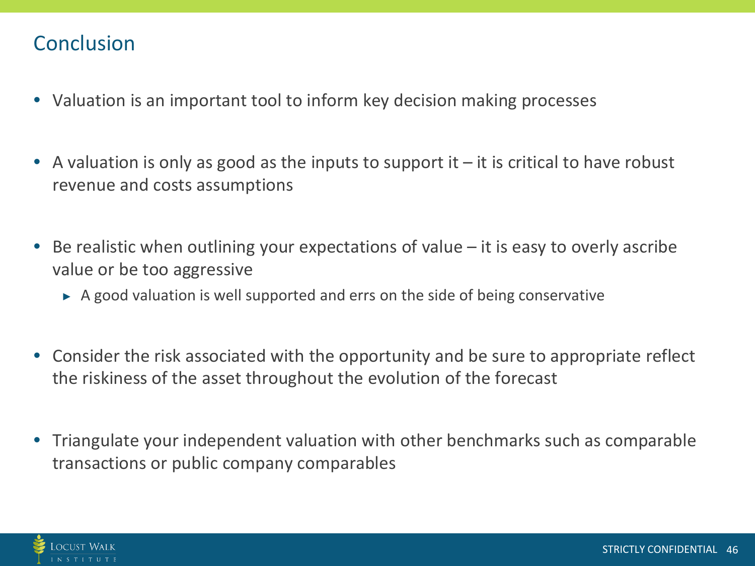### **Conclusion**

- Valuation is an important tool to inform key decision making processes
- A valuation is only as good as the inputs to support it  $-$  it is critical to have robust revenue and costs assumptions
- Be realistic when outlining your expectations of value it is easy to overly ascribe value or be too aggressive
	- $\triangleright$  A good valuation is well supported and errs on the side of being conservative
- Consider the risk associated with the opportunity and be sure to appropriate reflect the riskiness of the asset throughout the evolution of the forecast
- Triangulate your independent valuation with other benchmarks such as comparable transactions or public company comparables